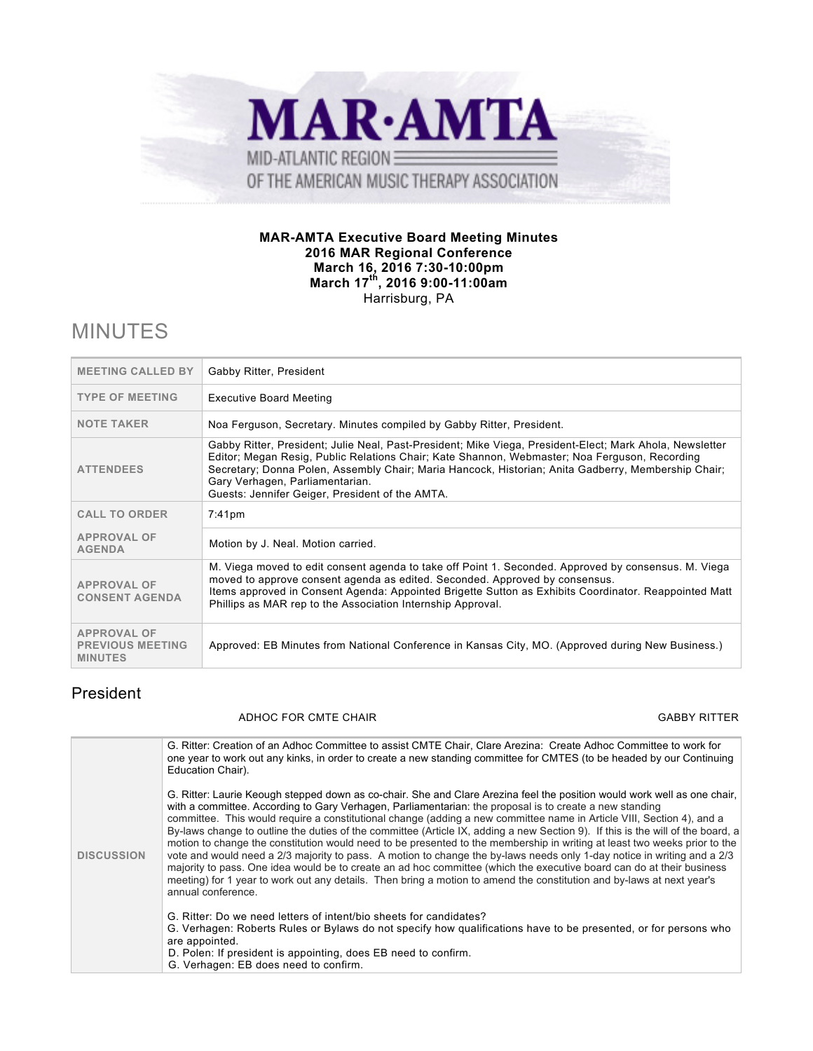

#### **MAR-AMTA Executive Board Meeting Minutes 2016 MAR Regional Conference March 16, 2016 7:30-10:00pm March 17th, 2016 9:00-11:00am** Harrisburg, PA

# MINUTES

| <b>MEETING CALLED BY</b>                                        | Gabby Ritter, President                                                                                                                                                                                                                                                                                                                                                                                |
|-----------------------------------------------------------------|--------------------------------------------------------------------------------------------------------------------------------------------------------------------------------------------------------------------------------------------------------------------------------------------------------------------------------------------------------------------------------------------------------|
| <b>TYPE OF MEETING</b>                                          | <b>Executive Board Meeting</b>                                                                                                                                                                                                                                                                                                                                                                         |
| <b>NOTE TAKER</b>                                               | Noa Ferguson, Secretary. Minutes compiled by Gabby Ritter, President.                                                                                                                                                                                                                                                                                                                                  |
| <b>ATTENDEES</b>                                                | Gabby Ritter, President; Julie Neal, Past-President; Mike Viega, President-Elect; Mark Ahola, Newsletter<br>Editor; Megan Resig, Public Relations Chair; Kate Shannon, Webmaster; Noa Ferguson, Recording<br>Secretary; Donna Polen, Assembly Chair; Maria Hancock, Historian; Anita Gadberry, Membership Chair;<br>Gary Verhagen, Parliamentarian.<br>Guests: Jennifer Geiger, President of the AMTA. |
| <b>CALL TO ORDER</b>                                            | 7:41 <sub>pm</sub>                                                                                                                                                                                                                                                                                                                                                                                     |
| <b>APPROVAL OF</b><br><b>AGENDA</b>                             | Motion by J. Neal. Motion carried.                                                                                                                                                                                                                                                                                                                                                                     |
| <b>APPROVAL OF</b><br><b>CONSENT AGENDA</b>                     | M. Viega moved to edit consent agenda to take off Point 1. Seconded. Approved by consensus. M. Viega<br>moved to approve consent agenda as edited. Seconded. Approved by consensus.<br>Items approved in Consent Agenda: Appointed Brigette Sutton as Exhibits Coordinator. Reappointed Matt<br>Phillips as MAR rep to the Association Internship Approval.                                            |
| <b>APPROVAL OF</b><br><b>PREVIOUS MEETING</b><br><b>MINUTES</b> | Approved: EB Minutes from National Conference in Kansas City, MO. (Approved during New Business.)                                                                                                                                                                                                                                                                                                      |

### President

#### ADHOC FOR CMTE CHAIR GABBY RITTER GABBY RITTER

| <b>DISCUSSION</b> | G. Ritter: Creation of an Adhoc Committee to assist CMTE Chair, Clare Arezina: Create Adhoc Committee to work for<br>one year to work out any kinks, in order to create a new standing committee for CMTES (to be headed by our Continuing<br>Education Chair).                                                                                                                                                                                                                                                                                                                                                                                                                                                                                                                                                                                                                                                                                                                                                                 |
|-------------------|---------------------------------------------------------------------------------------------------------------------------------------------------------------------------------------------------------------------------------------------------------------------------------------------------------------------------------------------------------------------------------------------------------------------------------------------------------------------------------------------------------------------------------------------------------------------------------------------------------------------------------------------------------------------------------------------------------------------------------------------------------------------------------------------------------------------------------------------------------------------------------------------------------------------------------------------------------------------------------------------------------------------------------|
|                   | G. Ritter: Laurie Keough stepped down as co-chair. She and Clare Arezina feel the position would work well as one chair.<br>with a committee. According to Gary Verhagen, Parliamentarian: the proposal is to create a new standing<br>committee. This would require a constitutional change (adding a new committee name in Article VIII, Section 4), and a<br>By-laws change to outline the duties of the committee (Article IX, adding a new Section 9). If this is the will of the board, a<br>motion to change the constitution would need to be presented to the membership in writing at least two weeks prior to the<br>vote and would need a 2/3 majority to pass. A motion to change the by-laws needs only 1-day notice in writing and a 2/3<br>majority to pass. One idea would be to create an ad hoc committee (which the executive board can do at their business<br>meeting) for 1 year to work out any details. Then bring a motion to amend the constitution and by-laws at next year's<br>annual conference. |
|                   | G. Ritter: Do we need letters of intent/bio sheets for candidates?<br>G. Verhagen: Roberts Rules or Bylaws do not specify how qualifications have to be presented, or for persons who<br>are appointed.<br>D. Polen: If president is appointing, does EB need to confirm.<br>G. Verhagen: EB does need to confirm.                                                                                                                                                                                                                                                                                                                                                                                                                                                                                                                                                                                                                                                                                                              |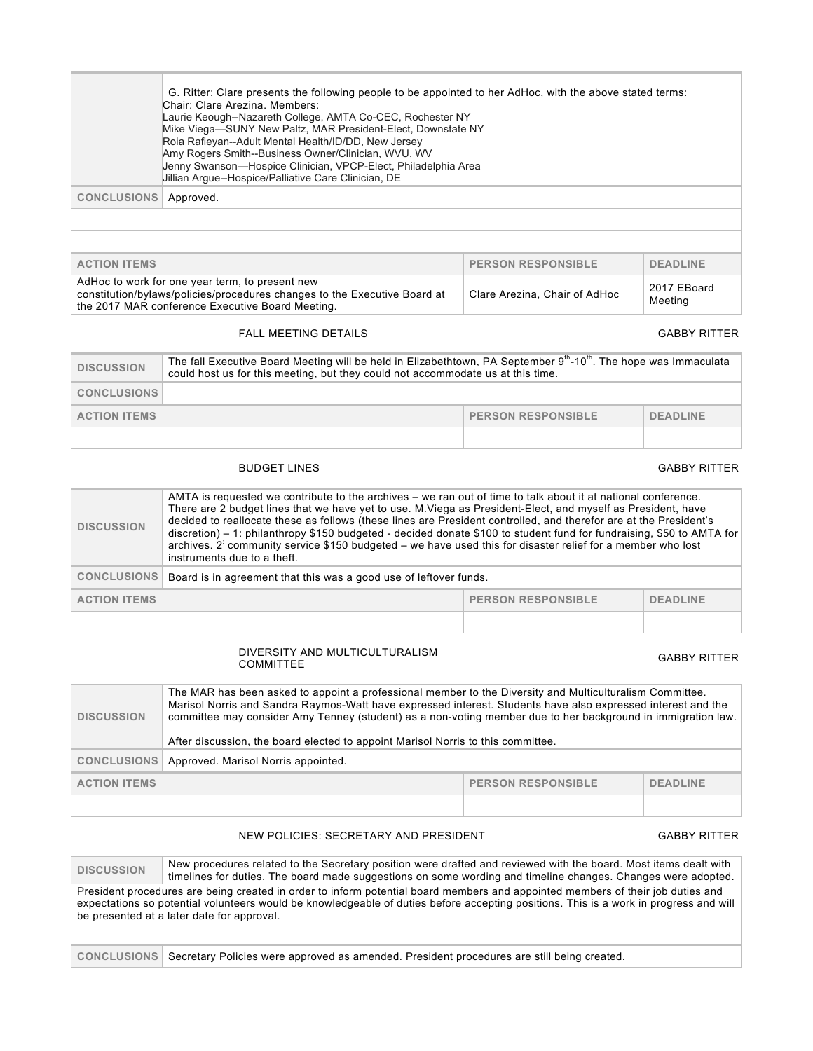|                    | G. Ritter: Clare presents the following people to be appointed to her AdHoc, with the above stated terms:<br>Chair: Clare Arezina, Members:<br>Laurie Keough--Nazareth College, AMTA Co-CEC, Rochester NY<br>Mike Viega-SUNY New Paltz, MAR President-Elect, Downstate NY<br>Roia Rafieyan--Adult Mental Health/ID/DD, New Jersey<br>Amy Rogers Smith--Business Owner/Clinician, WVU, WV<br>Jenny Swanson-Hospice Clinician, VPCP-Elect, Philadelphia Area<br>Jillian Argue--Hospice/Palliative Care Clinician, DE |
|--------------------|--------------------------------------------------------------------------------------------------------------------------------------------------------------------------------------------------------------------------------------------------------------------------------------------------------------------------------------------------------------------------------------------------------------------------------------------------------------------------------------------------------------------|
| <b>CONCLUSIONS</b> | Approved.                                                                                                                                                                                                                                                                                                                                                                                                                                                                                                          |
|                    |                                                                                                                                                                                                                                                                                                                                                                                                                                                                                                                    |
|                    |                                                                                                                                                                                                                                                                                                                                                                                                                                                                                                                    |

| <b>ACTION ITEMS</b>                                                                                                                                                              | <b>PERSON RESPONSIBLE</b>     | <b>DEADLINE</b>        |
|----------------------------------------------------------------------------------------------------------------------------------------------------------------------------------|-------------------------------|------------------------|
| AdHoc to work for one year term, to present new<br>constitution/bylaws/policies/procedures changes to the Executive Board at<br>the 2017 MAR conference Executive Board Meeting. | Clare Arezina, Chair of AdHoc | 2017 EBoard<br>Meeting |

#### FALL MEETING DETAILS **GABBY RITTER**

| <b>DISCUSSION</b>   | The fall Executive Board Meeting will be held in Elizabethtown, PA September 9th-10th. The hope was Immaculata<br>could host us for this meeting, but they could not accommodate us at this time. |                           |                 |
|---------------------|---------------------------------------------------------------------------------------------------------------------------------------------------------------------------------------------------|---------------------------|-----------------|
| <b>CONCLUSIONS</b>  |                                                                                                                                                                                                   |                           |                 |
| <b>ACTION ITEMS</b> |                                                                                                                                                                                                   | <b>PERSON RESPONSIBLE</b> | <b>DEADLINE</b> |
|                     |                                                                                                                                                                                                   |                           |                 |

#### BUDGET LINES GABBY RITTER

| <b>DISCUSSION</b>                                                   | AMTA is requested we contribute to the archives – we ran out of time to talk about it at national conference.<br>There are 2 budget lines that we have yet to use. M. Viega as President-Elect, and myself as President, have<br>decided to reallocate these as follows (these lines are President controlled, and therefor are at the President's<br>$discretion$ ) – 1: philanthropy \$150 budgeted - decided donate \$100 to student fund for fundraising, \$50 to AMTA for<br>archives. 2 community service \$150 budgeted – we have used this for disaster relief for a member who lost<br>instruments due to a theft. |  |  |
|---------------------------------------------------------------------|-----------------------------------------------------------------------------------------------------------------------------------------------------------------------------------------------------------------------------------------------------------------------------------------------------------------------------------------------------------------------------------------------------------------------------------------------------------------------------------------------------------------------------------------------------------------------------------------------------------------------------|--|--|
| <b>CONCLUSIONS</b>                                                  | Board is in agreement that this was a good use of leftover funds.                                                                                                                                                                                                                                                                                                                                                                                                                                                                                                                                                           |  |  |
| <b>PERSON RESPONSIBLE</b><br><b>ACTION ITEMS</b><br><b>DEADLINE</b> |                                                                                                                                                                                                                                                                                                                                                                                                                                                                                                                                                                                                                             |  |  |
|                                                                     |                                                                                                                                                                                                                                                                                                                                                                                                                                                                                                                                                                                                                             |  |  |

# DIVERSITY AND MULTICULTURALISM<br>COMMITTEE

#### **GABBY RITTER**

| <b>DISCUSSION</b>                                                   | The MAR has been asked to appoint a professional member to the Diversity and Multiculturalism Committee.<br>Marisol Norris and Sandra Raymos-Watt have expressed interest. Students have also expressed interest and the<br>committee may consider Amy Tenney (student) as a non-voting member due to her background in immigration law.<br>After discussion, the board elected to appoint Marisol Norris to this committee. |  |  |
|---------------------------------------------------------------------|------------------------------------------------------------------------------------------------------------------------------------------------------------------------------------------------------------------------------------------------------------------------------------------------------------------------------------------------------------------------------------------------------------------------------|--|--|
| <b>CONCLUSIONS</b>                                                  | Approved. Marisol Norris appointed.                                                                                                                                                                                                                                                                                                                                                                                          |  |  |
| <b>ACTION ITEMS</b><br><b>PERSON RESPONSIBLE</b><br><b>DEADLINE</b> |                                                                                                                                                                                                                                                                                                                                                                                                                              |  |  |
|                                                                     |                                                                                                                                                                                                                                                                                                                                                                                                                              |  |  |

#### NEW POLICIES: SECRETARY AND PRESIDENT GABBY RITTER GABBY RITTER

### **DISCUSSION** New procedures related to the Secretary position were drafted and reviewed with the board. Most items dealt with timelines for duties. The board made suggestions on some wording and timeline changes. Changes were adopted. President procedures are being created in order to inform potential board members and appointed members of their job duties and expectations so potential volunteers would be knowledgeable of duties before accepting positions. This is a work in progress and will be presented at a later date for approval. **CONCLUSIONS** Secretary Policies were approved as amended. President procedures are still being created.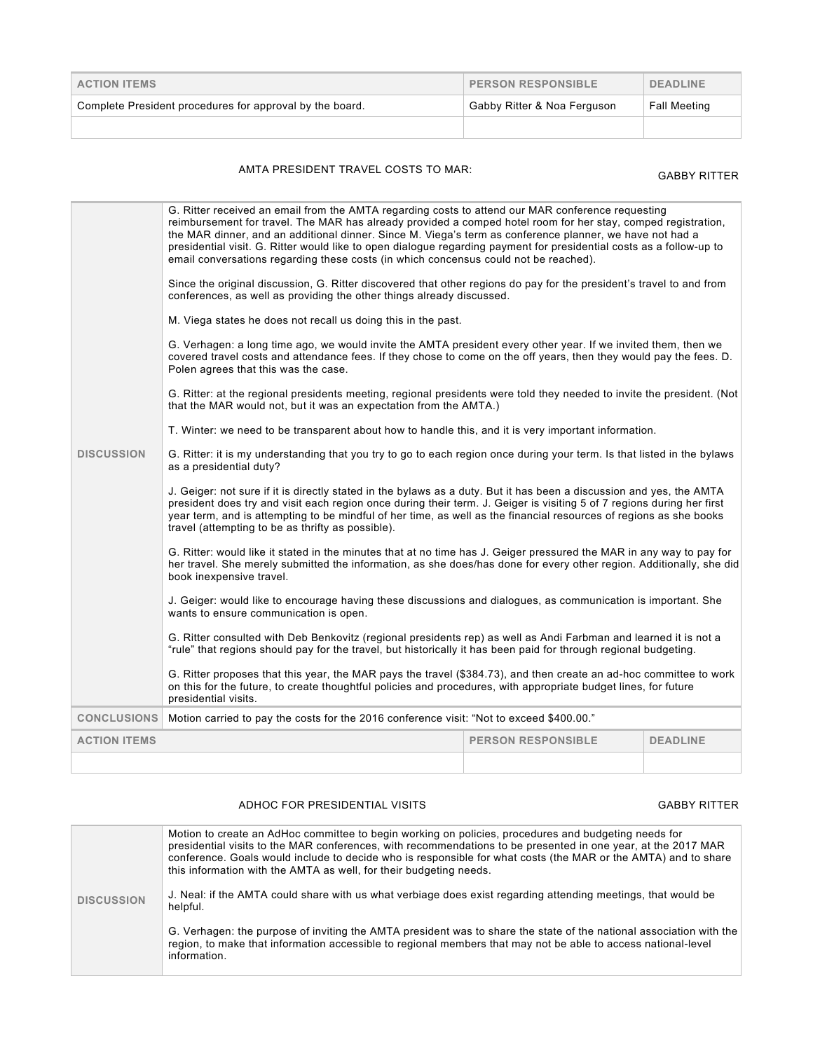| <b>ACTION ITEMS</b>                                      | <b>PERSON RESPONSIBLE</b>   | <b>DEADLINE</b>     |
|----------------------------------------------------------|-----------------------------|---------------------|
| Complete President procedures for approval by the board. | Gabby Ritter & Noa Ferguson | <b>Fall Meeting</b> |
|                                                          |                             |                     |

## AMTA PRESIDENT TRAVEL COSTS TO MAR: GABBY RITTER

|                     | G. Ritter received an email from the AMTA regarding costs to attend our MAR conference requesting<br>reimbursement for travel. The MAR has already provided a comped hotel room for her stay, comped registration,<br>the MAR dinner, and an additional dinner. Since M. Viega's term as conference planner, we have not had a<br>presidential visit. G. Ritter would like to open dialogue regarding payment for presidential costs as a follow-up to<br>email conversations regarding these costs (in which concensus could not be reached). |  |  |  |
|---------------------|------------------------------------------------------------------------------------------------------------------------------------------------------------------------------------------------------------------------------------------------------------------------------------------------------------------------------------------------------------------------------------------------------------------------------------------------------------------------------------------------------------------------------------------------|--|--|--|
|                     | Since the original discussion, G. Ritter discovered that other regions do pay for the president's travel to and from<br>conferences, as well as providing the other things already discussed.                                                                                                                                                                                                                                                                                                                                                  |  |  |  |
|                     | M. Viega states he does not recall us doing this in the past.                                                                                                                                                                                                                                                                                                                                                                                                                                                                                  |  |  |  |
|                     | G. Verhagen: a long time ago, we would invite the AMTA president every other year. If we invited them, then we<br>covered travel costs and attendance fees. If they chose to come on the off years, then they would pay the fees. D.<br>Polen agrees that this was the case.                                                                                                                                                                                                                                                                   |  |  |  |
|                     | G. Ritter: at the regional presidents meeting, regional presidents were told they needed to invite the president. (Not<br>that the MAR would not, but it was an expectation from the AMTA.)                                                                                                                                                                                                                                                                                                                                                    |  |  |  |
|                     | T. Winter: we need to be transparent about how to handle this, and it is very important information.                                                                                                                                                                                                                                                                                                                                                                                                                                           |  |  |  |
| <b>DISCUSSION</b>   | G. Ritter: it is my understanding that you try to go to each region once during your term. Is that listed in the bylaws<br>as a presidential duty?                                                                                                                                                                                                                                                                                                                                                                                             |  |  |  |
|                     | J. Geiger: not sure if it is directly stated in the bylaws as a duty. But it has been a discussion and yes, the AMTA<br>president does try and visit each region once during their term. J. Geiger is visiting 5 of 7 regions during her first<br>year term, and is attempting to be mindful of her time, as well as the financial resources of regions as she books<br>travel (attempting to be as thrifty as possible).                                                                                                                      |  |  |  |
|                     | G. Ritter: would like it stated in the minutes that at no time has J. Geiger pressured the MAR in any way to pay for<br>her travel. She merely submitted the information, as she does/has done for every other region. Additionally, she did<br>book inexpensive travel.                                                                                                                                                                                                                                                                       |  |  |  |
|                     | J. Geiger: would like to encourage having these discussions and dialogues, as communication is important. She<br>wants to ensure communication is open.                                                                                                                                                                                                                                                                                                                                                                                        |  |  |  |
|                     | G. Ritter consulted with Deb Benkovitz (regional presidents rep) as well as Andi Farbman and learned it is not a<br>"rule" that regions should pay for the travel, but historically it has been paid for through regional budgeting.                                                                                                                                                                                                                                                                                                           |  |  |  |
|                     | G. Ritter proposes that this year, the MAR pays the travel (\$384.73), and then create an ad-hoc committee to work<br>on this for the future, to create thoughtful policies and procedures, with appropriate budget lines, for future<br>presidential visits.                                                                                                                                                                                                                                                                                  |  |  |  |
| <b>CONCLUSIONS</b>  | Motion carried to pay the costs for the 2016 conference visit: "Not to exceed \$400.00."                                                                                                                                                                                                                                                                                                                                                                                                                                                       |  |  |  |
| <b>ACTION ITEMS</b> | <b>PERSON RESPONSIBLE</b><br><b>DEADLINE</b>                                                                                                                                                                                                                                                                                                                                                                                                                                                                                                   |  |  |  |
|                     |                                                                                                                                                                                                                                                                                                                                                                                                                                                                                                                                                |  |  |  |

#### ADHOC FOR PRESIDENTIAL VISITS **Example 20 and SASS** GABBY RITTER

|                   | Motion to create an AdHoc committee to begin working on policies, procedures and budgeting needs for<br>presidential visits to the MAR conferences, with recommendations to be presented in one year, at the 2017 MAR<br>conference. Goals would include to decide who is responsible for what costs (the MAR or the AMTA) and to share<br>this information with the AMTA as well, for their budgeting needs. |
|-------------------|---------------------------------------------------------------------------------------------------------------------------------------------------------------------------------------------------------------------------------------------------------------------------------------------------------------------------------------------------------------------------------------------------------------|
| <b>DISCUSSION</b> | J. Neal: if the AMTA could share with us what verbiage does exist regarding attending meetings, that would be<br>helpful.                                                                                                                                                                                                                                                                                     |
|                   | G. Verhagen: the purpose of inviting the AMTA president was to share the state of the national association with the<br>region, to make that information accessible to regional members that may not be able to access national-level<br>information.                                                                                                                                                          |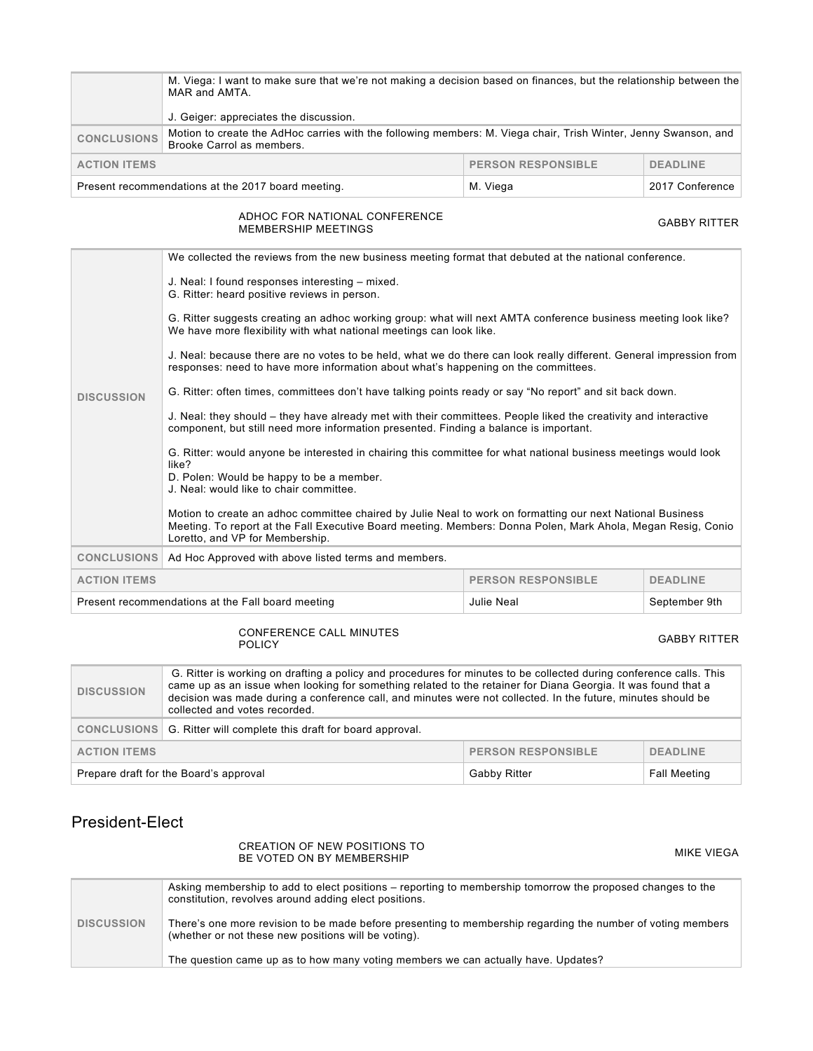|                                                                                   | M. Viega: I want to make sure that we're not making a decision based on finances, but the relationship between the<br>MAR and AMTA.<br>J. Geiger: appreciates the discussion. |  |  |
|-----------------------------------------------------------------------------------|-------------------------------------------------------------------------------------------------------------------------------------------------------------------------------|--|--|
| <b>CONCLUSIONS</b>                                                                | Motion to create the AdHoc carries with the following members: M. Viega chair, Trish Winter, Jenny Swanson, and<br>Brooke Carrol as members.                                  |  |  |
| <b>PERSON RESPONSIBLE</b><br><b>ACTION ITEMS</b><br><b>DEADLINE</b>               |                                                                                                                                                                               |  |  |
| Present recommendations at the 2017 board meeting.<br>M. Viega<br>2017 Conference |                                                                                                                                                                               |  |  |

# ADHOC FOR NATIONAL CONFERENCE<br>MEMBERSHIP MEETINGS

|                                                                                  | We collected the reviews from the new business meeting format that debuted at the national conference.                                                                                                                                                        |  |  |  |
|----------------------------------------------------------------------------------|---------------------------------------------------------------------------------------------------------------------------------------------------------------------------------------------------------------------------------------------------------------|--|--|--|
|                                                                                  | J. Neal: I found responses interesting – mixed.<br>G. Ritter: heard positive reviews in person.                                                                                                                                                               |  |  |  |
|                                                                                  | G. Ritter suggests creating an adhoc working group: what will next AMTA conference business meeting look like?<br>We have more flexibility with what national meetings can look like.                                                                         |  |  |  |
|                                                                                  | J. Neal: because there are no votes to be held, what we do there can look really different. General impression from<br>responses: need to have more information about what's happening on the committees.                                                     |  |  |  |
| <b>DISCUSSION</b>                                                                | G. Ritter: often times, committees don't have talking points ready or say "No report" and sit back down.                                                                                                                                                      |  |  |  |
|                                                                                  | J. Neal: they should – they have already met with their committees. People liked the creativity and interactive<br>component, but still need more information presented. Finding a balance is important.                                                      |  |  |  |
|                                                                                  | G. Ritter: would anyone be interested in chairing this committee for what national business meetings would look<br>like?                                                                                                                                      |  |  |  |
|                                                                                  | D. Polen: Would be happy to be a member.<br>J. Neal: would like to chair committee.                                                                                                                                                                           |  |  |  |
|                                                                                  | Motion to create an adhoc committee chaired by Julie Neal to work on formatting our next National Business<br>Meeting. To report at the Fall Executive Board meeting. Members: Donna Polen, Mark Ahola, Megan Resig, Conio<br>Loretto, and VP for Membership. |  |  |  |
| <b>CONCLUSIONS</b>                                                               | Ad Hoc Approved with above listed terms and members.                                                                                                                                                                                                          |  |  |  |
| <b>ACTION ITEMS</b>                                                              | <b>PERSON RESPONSIBLE</b><br><b>DEADLINE</b>                                                                                                                                                                                                                  |  |  |  |
| Present recommendations at the Fall board meeting<br>Julie Neal<br>September 9th |                                                                                                                                                                                                                                                               |  |  |  |

# CONFERENCE CALL MINUTES

| <b>DISCUSSION</b>                                | G. Ritter is working on drafting a policy and procedures for minutes to be collected during conference calls. This<br>came up as an issue when looking for something related to the retainer for Diana Georgia. It was found that a<br>decision was made during a conference call, and minutes were not collected. In the future, minutes should be<br>collected and votes recorded. |                     |                     |
|--------------------------------------------------|--------------------------------------------------------------------------------------------------------------------------------------------------------------------------------------------------------------------------------------------------------------------------------------------------------------------------------------------------------------------------------------|---------------------|---------------------|
|                                                  | CONCLUSIONS G. Ritter will complete this draft for board approval.                                                                                                                                                                                                                                                                                                                   |                     |                     |
| <b>PERSON RESPONSIBLE</b><br><b>ACTION ITEMS</b> |                                                                                                                                                                                                                                                                                                                                                                                      | <b>DEADLINE</b>     |                     |
| Prepare draft for the Board's approval           |                                                                                                                                                                                                                                                                                                                                                                                      | <b>Gabby Ritter</b> | <b>Fall Meeting</b> |

## President-Elect

# CREATION OF NEW POSITIONS TO BE VOTED ON BY MEMBERSHIP MIKE VIEGA GABBY RITTER

**GABBY RITTER** 

|                   | Asking membership to add to elect positions – reporting to membership tomorrow the proposed changes to the<br>constitution, revolves around adding elect positions. |
|-------------------|---------------------------------------------------------------------------------------------------------------------------------------------------------------------|
| <b>DISCUSSION</b> | There's one more revision to be made before presenting to membership regarding the number of voting members<br>(whether or not these new positions will be voting). |
|                   | The question came up as to how many voting members we can actually have. Updates?                                                                                   |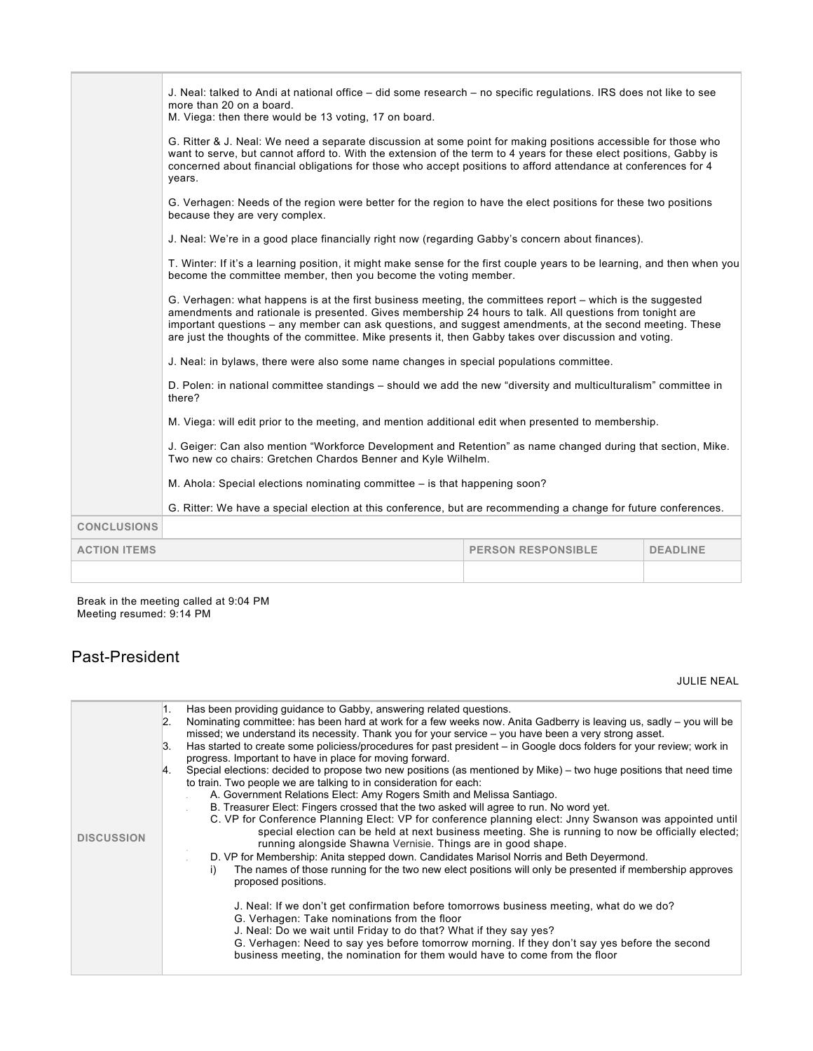|                     | J. Neal: talked to Andi at national office – did some research – no specific regulations. IRS does not like to see<br>more than 20 on a board.<br>M. Viega: then there would be 13 voting, 17 on board.                                                                                                                                                                                                                                      |  |  |  |
|---------------------|----------------------------------------------------------------------------------------------------------------------------------------------------------------------------------------------------------------------------------------------------------------------------------------------------------------------------------------------------------------------------------------------------------------------------------------------|--|--|--|
|                     | G. Ritter & J. Neal: We need a separate discussion at some point for making positions accessible for those who<br>want to serve, but cannot afford to. With the extension of the term to 4 years for these elect positions, Gabby is<br>concerned about financial obligations for those who accept positions to afford attendance at conferences for 4<br>years.                                                                             |  |  |  |
|                     | G. Verhagen: Needs of the region were better for the region to have the elect positions for these two positions<br>because they are very complex.                                                                                                                                                                                                                                                                                            |  |  |  |
|                     | J. Neal: We're in a good place financially right now (regarding Gabby's concern about finances).                                                                                                                                                                                                                                                                                                                                             |  |  |  |
|                     | T. Winter: If it's a learning position, it might make sense for the first couple years to be learning, and then when you<br>become the committee member, then you become the voting member.                                                                                                                                                                                                                                                  |  |  |  |
|                     | G. Verhagen: what happens is at the first business meeting, the committees report – which is the suggested<br>amendments and rationale is presented. Gives membership 24 hours to talk. All questions from tonight are<br>important questions – any member can ask questions, and suggest amendments, at the second meeting. These<br>are just the thoughts of the committee. Mike presents it, then Gabby takes over discussion and voting. |  |  |  |
|                     | J. Neal: in bylaws, there were also some name changes in special populations committee.                                                                                                                                                                                                                                                                                                                                                      |  |  |  |
|                     | D. Polen: in national committee standings – should we add the new "diversity and multiculturalism" committee in<br>there?                                                                                                                                                                                                                                                                                                                    |  |  |  |
|                     | M. Viega: will edit prior to the meeting, and mention additional edit when presented to membership.                                                                                                                                                                                                                                                                                                                                          |  |  |  |
|                     | J. Geiger: Can also mention "Workforce Development and Retention" as name changed during that section, Mike.<br>Two new co chairs: Gretchen Chardos Benner and Kyle Wilhelm.                                                                                                                                                                                                                                                                 |  |  |  |
|                     | M. Ahola: Special elections nominating committee – is that happening soon?                                                                                                                                                                                                                                                                                                                                                                   |  |  |  |
|                     | G. Ritter: We have a special election at this conference, but are recommending a change for future conferences.                                                                                                                                                                                                                                                                                                                              |  |  |  |
| <b>CONCLUSIONS</b>  |                                                                                                                                                                                                                                                                                                                                                                                                                                              |  |  |  |
| <b>ACTION ITEMS</b> | <b>PERSON RESPONSIBLE</b><br><b>DEADLINE</b>                                                                                                                                                                                                                                                                                                                                                                                                 |  |  |  |
|                     |                                                                                                                                                                                                                                                                                                                                                                                                                                              |  |  |  |

Break in the meeting called at 9:04 PM Meeting resumed: 9:14 PM

## Past-President

JULIE NEAL

| <b>DISCUSSION</b> | Has been providing guidance to Gabby, answering related questions.<br>1.<br>Nominating committee: has been hard at work for a few weeks now. Anita Gadberry is leaving us, sadly - you will be<br>$\overline{2}$ .<br>missed; we understand its necessity. Thank you for your service – you have been a very strong asset.<br>Has started to create some policiess/procedures for past president – in Google docs folders for your review; work in<br>13.<br>progress. Important to have in place for moving forward.<br>Special elections: decided to propose two new positions (as mentioned by Mike) - two huge positions that need time<br>to train. Two people we are talking to in consideration for each:<br>A. Government Relations Elect: Amy Rogers Smith and Melissa Santiago.<br>B. Treasurer Elect: Fingers crossed that the two asked will agree to run. No word yet.<br>C. VP for Conference Planning Elect: VP for conference planning elect: Jnny Swanson was appointed until<br>special election can be held at next business meeting. She is running to now be officially elected;<br>running alongside Shawna Vernisie. Things are in good shape.<br>D. VP for Membership: Anita stepped down. Candidates Marisol Norris and Beth Deyermond.<br>The names of those running for the two new elect positions will only be presented if membership approves<br>i)<br>proposed positions.<br>J. Neal: If we don't get confirmation before tomorrows business meeting, what do we do? |
|-------------------|------------------------------------------------------------------------------------------------------------------------------------------------------------------------------------------------------------------------------------------------------------------------------------------------------------------------------------------------------------------------------------------------------------------------------------------------------------------------------------------------------------------------------------------------------------------------------------------------------------------------------------------------------------------------------------------------------------------------------------------------------------------------------------------------------------------------------------------------------------------------------------------------------------------------------------------------------------------------------------------------------------------------------------------------------------------------------------------------------------------------------------------------------------------------------------------------------------------------------------------------------------------------------------------------------------------------------------------------------------------------------------------------------------------------------------------------------------------------------------------------------|
|                   | G. Verhagen: Take nominations from the floor<br>J. Neal: Do we wait until Friday to do that? What if they say yes?<br>G. Verhagen: Need to say yes before tomorrow morning. If they don't say yes before the second<br>business meeting, the nomination for them would have to come from the floor                                                                                                                                                                                                                                                                                                                                                                                                                                                                                                                                                                                                                                                                                                                                                                                                                                                                                                                                                                                                                                                                                                                                                                                                   |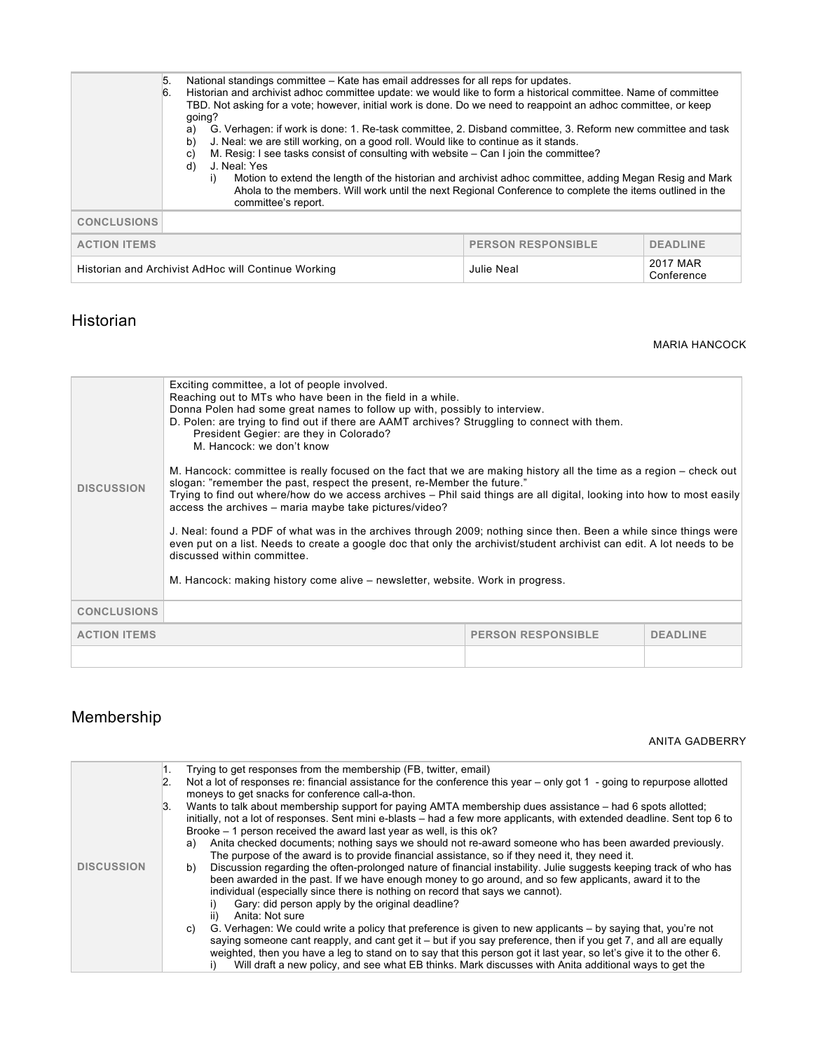|                     | 5.<br>6. | National standings committee – Kate has email addresses for all reps for updates.<br>Historian and archivist adhoc committee update: we would like to form a historical committee. Name of committee<br>TBD. Not asking for a vote; however, initial work is done. Do we need to reappoint an adhoc committee, or keep<br>going?<br>G. Verhagen: if work is done: 1. Re-task committee, 2. Disband committee, 3. Reform new committee and task<br>a)<br>J. Neal: we are still working, on a good roll. Would like to continue as it stands.<br>b)<br>M. Resig: I see tasks consist of consulting with website – Can I join the committee?<br>C)<br>J. Neal: Yes<br>d)<br>i)<br>committee's report. | Motion to extend the length of the historian and archivist adhoc committee, adding Megan Resig and Mark<br>Ahola to the members. Will work until the next Regional Conference to complete the items outlined in the |                        |
|---------------------|----------|----------------------------------------------------------------------------------------------------------------------------------------------------------------------------------------------------------------------------------------------------------------------------------------------------------------------------------------------------------------------------------------------------------------------------------------------------------------------------------------------------------------------------------------------------------------------------------------------------------------------------------------------------------------------------------------------------|---------------------------------------------------------------------------------------------------------------------------------------------------------------------------------------------------------------------|------------------------|
| <b>CONCLUSIONS</b>  |          |                                                                                                                                                                                                                                                                                                                                                                                                                                                                                                                                                                                                                                                                                                    |                                                                                                                                                                                                                     |                        |
| <b>ACTION ITEMS</b> |          |                                                                                                                                                                                                                                                                                                                                                                                                                                                                                                                                                                                                                                                                                                    | <b>PERSON RESPONSIBLE</b>                                                                                                                                                                                           | <b>DEADLINE</b>        |
|                     |          | Historian and Archivist AdHoc will Continue Working                                                                                                                                                                                                                                                                                                                                                                                                                                                                                                                                                                                                                                                | Julie Neal                                                                                                                                                                                                          | 2017 MAR<br>Conference |

## Historian

#### MARIA HANCOCK

| <b>DISCUSSION</b>   | Exciting committee, a lot of people involved.<br>Reaching out to MTs who have been in the field in a while.<br>Donna Polen had some great names to follow up with, possibly to interview.<br>D. Polen: are trying to find out if there are AAMT archives? Struggling to connect with them.<br>President Gegier: are they in Colorado?<br>M. Hancock: we don't know<br>M. Hancock: committee is really focused on the fact that we are making history all the time as a region – check out<br>slogan: "remember the past, respect the present, re-Member the future."<br>Trying to find out where/how do we access archives – Phil said things are all digital, looking into how to most easily<br>access the archives - maria maybe take pictures/video?<br>J. Neal: found a PDF of what was in the archives through 2009; nothing since then. Been a while since things were<br>even put on a list. Needs to create a google doc that only the archivist/student archivist can edit. A lot needs to be<br>discussed within committee.<br>M. Hancock: making history come alive – newsletter, website. Work in progress. |                           |                 |
|---------------------|--------------------------------------------------------------------------------------------------------------------------------------------------------------------------------------------------------------------------------------------------------------------------------------------------------------------------------------------------------------------------------------------------------------------------------------------------------------------------------------------------------------------------------------------------------------------------------------------------------------------------------------------------------------------------------------------------------------------------------------------------------------------------------------------------------------------------------------------------------------------------------------------------------------------------------------------------------------------------------------------------------------------------------------------------------------------------------------------------------------------------|---------------------------|-----------------|
| <b>CONCLUSIONS</b>  |                                                                                                                                                                                                                                                                                                                                                                                                                                                                                                                                                                                                                                                                                                                                                                                                                                                                                                                                                                                                                                                                                                                          |                           |                 |
| <b>ACTION ITEMS</b> |                                                                                                                                                                                                                                                                                                                                                                                                                                                                                                                                                                                                                                                                                                                                                                                                                                                                                                                                                                                                                                                                                                                          | <b>PERSON RESPONSIBLE</b> | <b>DEADLINE</b> |
|                     |                                                                                                                                                                                                                                                                                                                                                                                                                                                                                                                                                                                                                                                                                                                                                                                                                                                                                                                                                                                                                                                                                                                          |                           |                 |

# Membership

#### ANITA GADBERRY

| <b>DISCUSSION</b> | 1.<br>2.<br>Β. | Trying to get responses from the membership (FB, twitter, email)<br>Not a lot of responses re: financial assistance for the conference this year – only got 1 - going to repurpose allotted<br>moneys to get snacks for conference call-a-thon.<br>Wants to talk about membership support for paying AMTA membership dues assistance – had 6 spots allotted;<br>initially, not a lot of responses. Sent mini e-blasts – had a few more applicants, with extended deadline. Sent top 6 to<br>Brooke – 1 person received the award last year as well, is this ok?<br>Anita checked documents; nothing says we should not re-award someone who has been awarded previously.<br>a)<br>The purpose of the award is to provide financial assistance, so if they need it, they need it.<br>Discussion regarding the often-prolonged nature of financial instability. Julie suggests keeping track of who has<br>b)<br>been awarded in the past. If we have enough money to go around, and so few applicants, award it to the<br>individual (especially since there is nothing on record that says we cannot).<br>Gary: did person apply by the original deadline?<br>Anita: Not sure<br>ii) |
|-------------------|----------------|--------------------------------------------------------------------------------------------------------------------------------------------------------------------------------------------------------------------------------------------------------------------------------------------------------------------------------------------------------------------------------------------------------------------------------------------------------------------------------------------------------------------------------------------------------------------------------------------------------------------------------------------------------------------------------------------------------------------------------------------------------------------------------------------------------------------------------------------------------------------------------------------------------------------------------------------------------------------------------------------------------------------------------------------------------------------------------------------------------------------------------------------------------------------------------------|
|                   |                |                                                                                                                                                                                                                                                                                                                                                                                                                                                                                                                                                                                                                                                                                                                                                                                                                                                                                                                                                                                                                                                                                                                                                                                      |
|                   |                |                                                                                                                                                                                                                                                                                                                                                                                                                                                                                                                                                                                                                                                                                                                                                                                                                                                                                                                                                                                                                                                                                                                                                                                      |
|                   |                |                                                                                                                                                                                                                                                                                                                                                                                                                                                                                                                                                                                                                                                                                                                                                                                                                                                                                                                                                                                                                                                                                                                                                                                      |
|                   |                | G. Verhagen: We could write a policy that preference is given to new applicants – by saying that, you're not<br>C)<br>saying someone cant reapply, and cant get it – but if you say preference, then if you get 7, and all are equally<br>weighted, then you have a leg to stand on to say that this person got it last year, so let's give it to the other 6.<br>Will draft a new policy, and see what EB thinks. Mark discusses with Anita additional ways to get the                                                                                                                                                                                                                                                                                                                                                                                                                                                                                                                                                                                                                                                                                                              |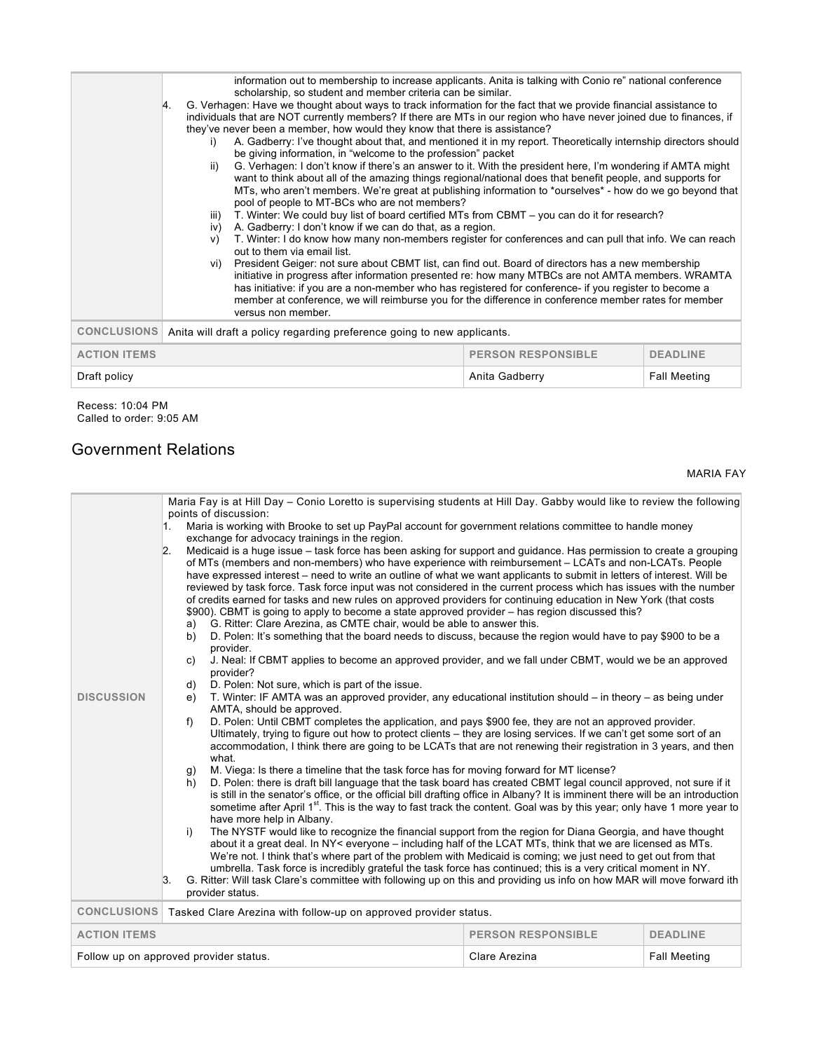|                     | information out to membership to increase applicants. Anita is talking with Conio re" national conference<br>scholarship, so student and member criteria can be similar.<br>G. Verhagen: Have we thought about ways to track information for the fact that we provide financial assistance to<br>14.<br>individuals that are NOT currently members? If there are MTs in our region who have never joined due to finances, if<br>they've never been a member, how would they know that there is assistance?<br>A. Gadberry: I've thought about that, and mentioned it in my report. Theoretically internship directors should<br>i)<br>be giving information, in "welcome to the profession" packet<br>G. Verhagen: I don't know if there's an answer to it. With the president here, I'm wondering if AMTA might<br>ii)<br>want to think about all of the amazing things regional/national does that benefit people, and supports for<br>MTs, who aren't members. We're great at publishing information to *ourselves* - how do we go beyond that<br>pool of people to MT-BCs who are not members?<br>T. Winter: We could buy list of board certified MTs from CBMT – you can do it for research?<br>iii)<br>A. Gadberry: I don't know if we can do that, as a region.<br>iv)<br>T. Winter: I do know how many non-members register for conferences and can pull that info. We can reach<br>v)<br>out to them via email list.<br>President Geiger: not sure about CBMT list, can find out. Board of directors has a new membership<br>Vi)<br>initiative in progress after information presented re: how many MTBCs are not AMTA members. WRAMTA<br>has initiative: if you are a non-member who has registered for conference- if you register to become a<br>member at conference, we will reimburse you for the difference in conference member rates for member<br>versus non member. |
|---------------------|-----------------------------------------------------------------------------------------------------------------------------------------------------------------------------------------------------------------------------------------------------------------------------------------------------------------------------------------------------------------------------------------------------------------------------------------------------------------------------------------------------------------------------------------------------------------------------------------------------------------------------------------------------------------------------------------------------------------------------------------------------------------------------------------------------------------------------------------------------------------------------------------------------------------------------------------------------------------------------------------------------------------------------------------------------------------------------------------------------------------------------------------------------------------------------------------------------------------------------------------------------------------------------------------------------------------------------------------------------------------------------------------------------------------------------------------------------------------------------------------------------------------------------------------------------------------------------------------------------------------------------------------------------------------------------------------------------------------------------------------------------------------------------------------------------------------------------------------------------------------------------------------|
| <b>CONCLUSIONS</b>  | Anita will draft a policy regarding preference going to new applicants.                                                                                                                                                                                                                                                                                                                                                                                                                                                                                                                                                                                                                                                                                                                                                                                                                                                                                                                                                                                                                                                                                                                                                                                                                                                                                                                                                                                                                                                                                                                                                                                                                                                                                                                                                                                                                 |
| <b>ACTION ITEMS</b> | <b>PERSON RESPONSIBLE</b><br><b>DEADLINE</b>                                                                                                                                                                                                                                                                                                                                                                                                                                                                                                                                                                                                                                                                                                                                                                                                                                                                                                                                                                                                                                                                                                                                                                                                                                                                                                                                                                                                                                                                                                                                                                                                                                                                                                                                                                                                                                            |
| Draft policy        | Anita Gadberry<br><b>Fall Meeting</b>                                                                                                                                                                                                                                                                                                                                                                                                                                                                                                                                                                                                                                                                                                                                                                                                                                                                                                                                                                                                                                                                                                                                                                                                                                                                                                                                                                                                                                                                                                                                                                                                                                                                                                                                                                                                                                                   |

Recess: 10:04 PM Called to order: 9:05 AM

## Government Relations

MARIA FAY

|                     | Maria Fay is at Hill Day – Conio Loretto is supervising students at Hill Day. Gabby would like to review the following                                                                                                                                                                                                                                                                                                                                                                                                                                                                                                                                                                                                                                                                                |                           |                 |  |
|---------------------|-------------------------------------------------------------------------------------------------------------------------------------------------------------------------------------------------------------------------------------------------------------------------------------------------------------------------------------------------------------------------------------------------------------------------------------------------------------------------------------------------------------------------------------------------------------------------------------------------------------------------------------------------------------------------------------------------------------------------------------------------------------------------------------------------------|---------------------------|-----------------|--|
|                     | points of discussion:<br>Maria is working with Brooke to set up PayPal account for government relations committee to handle money<br>1.<br>exchange for advocacy trainings in the region.<br>Medicaid is a huge issue - task force has been asking for support and guidance. Has permission to create a grouping<br>2.<br>of MTs (members and non-members) who have experience with reimbursement - LCATs and non-LCATs. People<br>have expressed interest – need to write an outline of what we want applicants to submit in letters of interest. Will be<br>reviewed by task force. Task force input was not considered in the current process which has issues with the number<br>of credits earned for tasks and new rules on approved providers for continuing education in New York (that costs |                           |                 |  |
|                     | \$900). CBMT is going to apply to become a state approved provider – has region discussed this?<br>G. Ritter: Clare Arezina, as CMTE chair, would be able to answer this.<br>a)                                                                                                                                                                                                                                                                                                                                                                                                                                                                                                                                                                                                                       |                           |                 |  |
|                     | D. Polen: It's something that the board needs to discuss, because the region would have to pay \$900 to be a<br>b)                                                                                                                                                                                                                                                                                                                                                                                                                                                                                                                                                                                                                                                                                    |                           |                 |  |
|                     | provider.<br>J. Neal: If CBMT applies to become an approved provider, and we fall under CBMT, would we be an approved<br>C)<br>provider?                                                                                                                                                                                                                                                                                                                                                                                                                                                                                                                                                                                                                                                              |                           |                 |  |
| <b>DISCUSSION</b>   | D. Polen: Not sure, which is part of the issue.<br>d)<br>T. Winter: IF AMTA was an approved provider, any educational institution should – in theory – as being under<br>e)                                                                                                                                                                                                                                                                                                                                                                                                                                                                                                                                                                                                                           |                           |                 |  |
|                     | AMTA, should be approved.                                                                                                                                                                                                                                                                                                                                                                                                                                                                                                                                                                                                                                                                                                                                                                             |                           |                 |  |
|                     | D. Polen: Until CBMT completes the application, and pays \$900 fee, they are not an approved provider.<br>f<br>Ultimately, trying to figure out how to protect clients – they are losing services. If we can't get some sort of an<br>accommodation. I think there are going to be LCATs that are not renewing their registration in 3 years, and then<br>what.                                                                                                                                                                                                                                                                                                                                                                                                                                       |                           |                 |  |
|                     | M. Viega: Is there a timeline that the task force has for moving forward for MT license?<br>g)<br>D. Polen: there is draft bill language that the task board has created CBMT legal council approved, not sure if it<br>h)<br>is still in the senator's office, or the official bill drafting office in Albany? It is imminent there will be an introduction<br>sometime after April 1st. This is the way to fast track the content. Goal was by this year; only have 1 more year to<br>have more help in Albany.                                                                                                                                                                                                                                                                                     |                           |                 |  |
|                     | i)<br>The NYSTF would like to recognize the financial support from the region for Diana Georgia, and have thought<br>about it a great deal. In NY< everyone – including half of the LCAT MTs, think that we are licensed as MTs.<br>We're not. I think that's where part of the problem with Medicaid is coming; we just need to get out from that<br>umbrella. Task force is incredibly grateful the task force has continued; this is a very critical moment in NY.                                                                                                                                                                                                                                                                                                                                 |                           |                 |  |
|                     | G. Ritter: Will task Clare's committee with following up on this and providing us info on how MAR will move forward ith<br>3.<br>provider status.                                                                                                                                                                                                                                                                                                                                                                                                                                                                                                                                                                                                                                                     |                           |                 |  |
| <b>CONCLUSIONS</b>  | Tasked Clare Arezina with follow-up on approved provider status.                                                                                                                                                                                                                                                                                                                                                                                                                                                                                                                                                                                                                                                                                                                                      |                           |                 |  |
| <b>ACTION ITEMS</b> |                                                                                                                                                                                                                                                                                                                                                                                                                                                                                                                                                                                                                                                                                                                                                                                                       | <b>PERSON RESPONSIBLE</b> | <b>DEADLINE</b> |  |
|                     | Follow up on approved provider status.<br><b>Fall Meeting</b><br>Clare Arezina                                                                                                                                                                                                                                                                                                                                                                                                                                                                                                                                                                                                                                                                                                                        |                           |                 |  |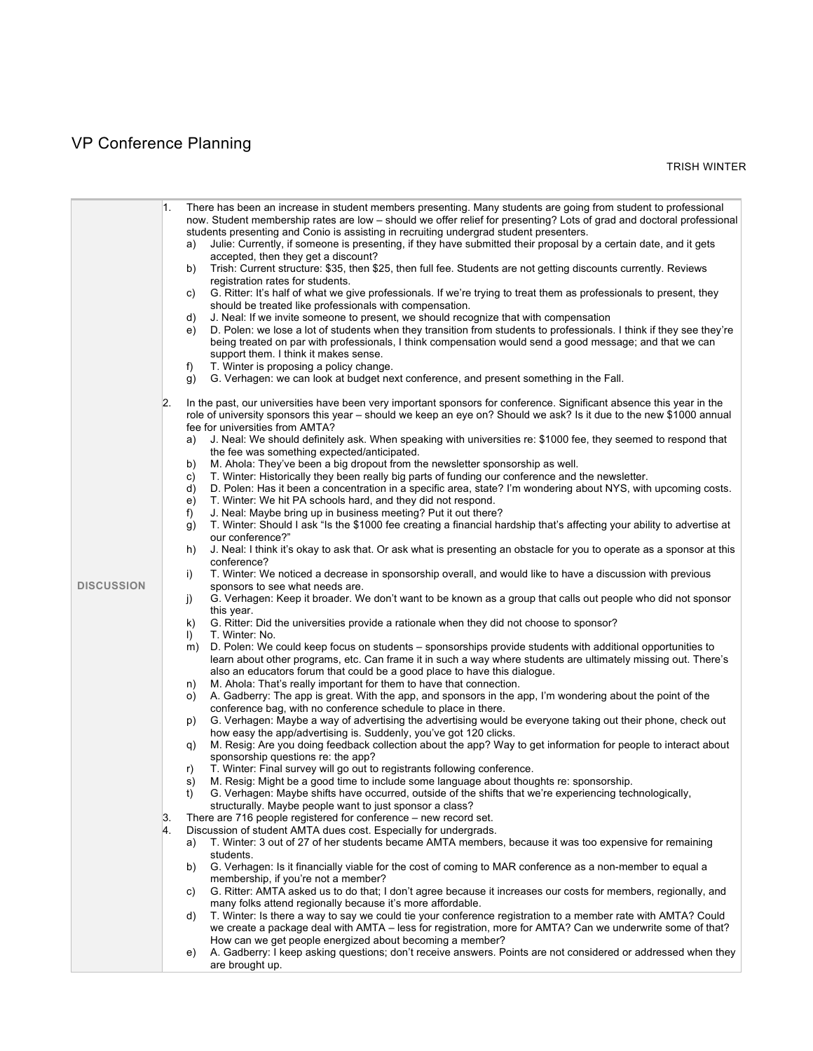# VP Conference Planning

|                   | 1.<br>$\mathbf{2}$ . | There has been an increase in student members presenting. Many students are going from student to professional<br>now. Student membership rates are low – should we offer relief for presenting? Lots of grad and doctoral professional<br>students presenting and Conio is assisting in recruiting undergrad student presenters.<br>Julie: Currently, if someone is presenting, if they have submitted their proposal by a certain date, and it gets<br>a)<br>accepted, then they get a discount?<br>Trish: Current structure: \$35, then \$25, then full fee. Students are not getting discounts currently. Reviews<br>b)<br>registration rates for students.<br>G. Ritter: It's half of what we give professionals. If we're trying to treat them as professionals to present, they<br>C)<br>should be treated like professionals with compensation.<br>J. Neal: If we invite someone to present, we should recognize that with compensation<br>d)<br>D. Polen: we lose a lot of students when they transition from students to professionals. I think if they see they're<br>e)<br>being treated on par with professionals, I think compensation would send a good message; and that we can<br>support them. I think it makes sense.<br>T. Winter is proposing a policy change.<br>f)<br>G. Verhagen: we can look at budget next conference, and present something in the Fall.<br>g)<br>In the past, our universities have been very important sponsors for conference. Significant absence this year in the<br>role of university sponsors this year - should we keep an eye on? Should we ask? Is it due to the new \$1000 annual<br>fee for universities from AMTA?<br>J. Neal: We should definitely ask. When speaking with universities re: \$1000 fee, they seemed to respond that<br>a) |
|-------------------|----------------------|-----------------------------------------------------------------------------------------------------------------------------------------------------------------------------------------------------------------------------------------------------------------------------------------------------------------------------------------------------------------------------------------------------------------------------------------------------------------------------------------------------------------------------------------------------------------------------------------------------------------------------------------------------------------------------------------------------------------------------------------------------------------------------------------------------------------------------------------------------------------------------------------------------------------------------------------------------------------------------------------------------------------------------------------------------------------------------------------------------------------------------------------------------------------------------------------------------------------------------------------------------------------------------------------------------------------------------------------------------------------------------------------------------------------------------------------------------------------------------------------------------------------------------------------------------------------------------------------------------------------------------------------------------------------------------------------------------------------------------------------------------------------------------------------------------|
|                   |                      | the fee was something expected/anticipated.                                                                                                                                                                                                                                                                                                                                                                                                                                                                                                                                                                                                                                                                                                                                                                                                                                                                                                                                                                                                                                                                                                                                                                                                                                                                                                                                                                                                                                                                                                                                                                                                                                                                                                                                                         |
|                   |                      | M. Ahola: They've been a big dropout from the newsletter sponsorship as well.<br>b)                                                                                                                                                                                                                                                                                                                                                                                                                                                                                                                                                                                                                                                                                                                                                                                                                                                                                                                                                                                                                                                                                                                                                                                                                                                                                                                                                                                                                                                                                                                                                                                                                                                                                                                 |
|                   |                      | T. Winter: Historically they been really big parts of funding our conference and the newsletter.<br>C)<br>D. Polen: Has it been a concentration in a specific area, state? I'm wondering about NYS, with upcoming costs.<br>d)                                                                                                                                                                                                                                                                                                                                                                                                                                                                                                                                                                                                                                                                                                                                                                                                                                                                                                                                                                                                                                                                                                                                                                                                                                                                                                                                                                                                                                                                                                                                                                      |
|                   |                      | T. Winter: We hit PA schools hard, and they did not respond.<br>e)                                                                                                                                                                                                                                                                                                                                                                                                                                                                                                                                                                                                                                                                                                                                                                                                                                                                                                                                                                                                                                                                                                                                                                                                                                                                                                                                                                                                                                                                                                                                                                                                                                                                                                                                  |
|                   |                      | J. Neal: Maybe bring up in business meeting? Put it out there?<br>f)                                                                                                                                                                                                                                                                                                                                                                                                                                                                                                                                                                                                                                                                                                                                                                                                                                                                                                                                                                                                                                                                                                                                                                                                                                                                                                                                                                                                                                                                                                                                                                                                                                                                                                                                |
|                   |                      | T. Winter: Should I ask "Is the \$1000 fee creating a financial hardship that's affecting your ability to advertise at<br>$\mathsf{q}$<br>our conference?"                                                                                                                                                                                                                                                                                                                                                                                                                                                                                                                                                                                                                                                                                                                                                                                                                                                                                                                                                                                                                                                                                                                                                                                                                                                                                                                                                                                                                                                                                                                                                                                                                                          |
|                   |                      | J. Neal: I think it's okay to ask that. Or ask what is presenting an obstacle for you to operate as a sponsor at this<br>h)<br>conference?                                                                                                                                                                                                                                                                                                                                                                                                                                                                                                                                                                                                                                                                                                                                                                                                                                                                                                                                                                                                                                                                                                                                                                                                                                                                                                                                                                                                                                                                                                                                                                                                                                                          |
| <b>DISCUSSION</b> |                      | T. Winter: We noticed a decrease in sponsorship overall, and would like to have a discussion with previous<br>i)<br>sponsors to see what needs are.                                                                                                                                                                                                                                                                                                                                                                                                                                                                                                                                                                                                                                                                                                                                                                                                                                                                                                                                                                                                                                                                                                                                                                                                                                                                                                                                                                                                                                                                                                                                                                                                                                                 |
|                   |                      | G. Verhagen: Keep it broader. We don't want to be known as a group that calls out people who did not sponsor<br>j)<br>this year.                                                                                                                                                                                                                                                                                                                                                                                                                                                                                                                                                                                                                                                                                                                                                                                                                                                                                                                                                                                                                                                                                                                                                                                                                                                                                                                                                                                                                                                                                                                                                                                                                                                                    |
|                   |                      | k)<br>G. Ritter: Did the universities provide a rationale when they did not choose to sponsor?                                                                                                                                                                                                                                                                                                                                                                                                                                                                                                                                                                                                                                                                                                                                                                                                                                                                                                                                                                                                                                                                                                                                                                                                                                                                                                                                                                                                                                                                                                                                                                                                                                                                                                      |
|                   |                      | $\vert$<br>T. Winter: No.                                                                                                                                                                                                                                                                                                                                                                                                                                                                                                                                                                                                                                                                                                                                                                                                                                                                                                                                                                                                                                                                                                                                                                                                                                                                                                                                                                                                                                                                                                                                                                                                                                                                                                                                                                           |
|                   |                      | D. Polen: We could keep focus on students – sponsorships provide students with additional opportunities to<br>m)<br>learn about other programs, etc. Can frame it in such a way where students are ultimately missing out. There's<br>also an educators forum that could be a good place to have this dialogue.                                                                                                                                                                                                                                                                                                                                                                                                                                                                                                                                                                                                                                                                                                                                                                                                                                                                                                                                                                                                                                                                                                                                                                                                                                                                                                                                                                                                                                                                                     |
|                   |                      | M. Ahola: That's really important for them to have that connection.<br>n)                                                                                                                                                                                                                                                                                                                                                                                                                                                                                                                                                                                                                                                                                                                                                                                                                                                                                                                                                                                                                                                                                                                                                                                                                                                                                                                                                                                                                                                                                                                                                                                                                                                                                                                           |
|                   |                      | A. Gadberry: The app is great. With the app, and sponsors in the app, I'm wondering about the point of the<br>O)<br>conference bag, with no conference schedule to place in there.                                                                                                                                                                                                                                                                                                                                                                                                                                                                                                                                                                                                                                                                                                                                                                                                                                                                                                                                                                                                                                                                                                                                                                                                                                                                                                                                                                                                                                                                                                                                                                                                                  |
|                   |                      | G. Verhagen: Maybe a way of advertising the advertising would be everyone taking out their phone, check out<br>p)                                                                                                                                                                                                                                                                                                                                                                                                                                                                                                                                                                                                                                                                                                                                                                                                                                                                                                                                                                                                                                                                                                                                                                                                                                                                                                                                                                                                                                                                                                                                                                                                                                                                                   |
|                   |                      | how easy the app/advertising is. Suddenly, you've got 120 clicks.<br>M. Resig: Are you doing feedback collection about the app? Way to get information for people to interact about                                                                                                                                                                                                                                                                                                                                                                                                                                                                                                                                                                                                                                                                                                                                                                                                                                                                                                                                                                                                                                                                                                                                                                                                                                                                                                                                                                                                                                                                                                                                                                                                                 |
|                   |                      | q)<br>sponsorship questions re: the app?                                                                                                                                                                                                                                                                                                                                                                                                                                                                                                                                                                                                                                                                                                                                                                                                                                                                                                                                                                                                                                                                                                                                                                                                                                                                                                                                                                                                                                                                                                                                                                                                                                                                                                                                                            |
|                   |                      | T. Winter: Final survey will go out to registrants following conference.<br>r)                                                                                                                                                                                                                                                                                                                                                                                                                                                                                                                                                                                                                                                                                                                                                                                                                                                                                                                                                                                                                                                                                                                                                                                                                                                                                                                                                                                                                                                                                                                                                                                                                                                                                                                      |
|                   |                      | M. Resig: Might be a good time to include some language about thoughts re: sponsorship.<br>s)                                                                                                                                                                                                                                                                                                                                                                                                                                                                                                                                                                                                                                                                                                                                                                                                                                                                                                                                                                                                                                                                                                                                                                                                                                                                                                                                                                                                                                                                                                                                                                                                                                                                                                       |
|                   |                      | t)<br>G. Verhagen: Maybe shifts have occurred, outside of the shifts that we're experiencing technologically,<br>structurally. Maybe people want to just sponsor a class?                                                                                                                                                                                                                                                                                                                                                                                                                                                                                                                                                                                                                                                                                                                                                                                                                                                                                                                                                                                                                                                                                                                                                                                                                                                                                                                                                                                                                                                                                                                                                                                                                           |
|                   | 3.                   | There are 716 people registered for conference – new record set.                                                                                                                                                                                                                                                                                                                                                                                                                                                                                                                                                                                                                                                                                                                                                                                                                                                                                                                                                                                                                                                                                                                                                                                                                                                                                                                                                                                                                                                                                                                                                                                                                                                                                                                                    |
|                   | 4.                   | Discussion of student AMTA dues cost. Especially for undergrads.                                                                                                                                                                                                                                                                                                                                                                                                                                                                                                                                                                                                                                                                                                                                                                                                                                                                                                                                                                                                                                                                                                                                                                                                                                                                                                                                                                                                                                                                                                                                                                                                                                                                                                                                    |
|                   |                      | T. Winter: 3 out of 27 of her students became AMTA members, because it was too expensive for remaining<br>a)                                                                                                                                                                                                                                                                                                                                                                                                                                                                                                                                                                                                                                                                                                                                                                                                                                                                                                                                                                                                                                                                                                                                                                                                                                                                                                                                                                                                                                                                                                                                                                                                                                                                                        |
|                   |                      | students.                                                                                                                                                                                                                                                                                                                                                                                                                                                                                                                                                                                                                                                                                                                                                                                                                                                                                                                                                                                                                                                                                                                                                                                                                                                                                                                                                                                                                                                                                                                                                                                                                                                                                                                                                                                           |
|                   |                      | G. Verhagen: Is it financially viable for the cost of coming to MAR conference as a non-member to equal a<br>b)                                                                                                                                                                                                                                                                                                                                                                                                                                                                                                                                                                                                                                                                                                                                                                                                                                                                                                                                                                                                                                                                                                                                                                                                                                                                                                                                                                                                                                                                                                                                                                                                                                                                                     |
|                   |                      | membership, if you're not a member?                                                                                                                                                                                                                                                                                                                                                                                                                                                                                                                                                                                                                                                                                                                                                                                                                                                                                                                                                                                                                                                                                                                                                                                                                                                                                                                                                                                                                                                                                                                                                                                                                                                                                                                                                                 |
|                   |                      | G. Ritter: AMTA asked us to do that; I don't agree because it increases our costs for members, regionally, and<br>C)<br>many folks attend regionally because it's more affordable.                                                                                                                                                                                                                                                                                                                                                                                                                                                                                                                                                                                                                                                                                                                                                                                                                                                                                                                                                                                                                                                                                                                                                                                                                                                                                                                                                                                                                                                                                                                                                                                                                  |
|                   |                      | T. Winter: Is there a way to say we could tie your conference registration to a member rate with AMTA? Could<br>d)                                                                                                                                                                                                                                                                                                                                                                                                                                                                                                                                                                                                                                                                                                                                                                                                                                                                                                                                                                                                                                                                                                                                                                                                                                                                                                                                                                                                                                                                                                                                                                                                                                                                                  |
|                   |                      | we create a package deal with AMTA – less for registration, more for AMTA? Can we underwrite some of that?                                                                                                                                                                                                                                                                                                                                                                                                                                                                                                                                                                                                                                                                                                                                                                                                                                                                                                                                                                                                                                                                                                                                                                                                                                                                                                                                                                                                                                                                                                                                                                                                                                                                                          |
|                   |                      | How can we get people energized about becoming a member?                                                                                                                                                                                                                                                                                                                                                                                                                                                                                                                                                                                                                                                                                                                                                                                                                                                                                                                                                                                                                                                                                                                                                                                                                                                                                                                                                                                                                                                                                                                                                                                                                                                                                                                                            |
|                   |                      | A. Gadberry: I keep asking questions; don't receive answers. Points are not considered or addressed when they<br>e)<br>are brought up.                                                                                                                                                                                                                                                                                                                                                                                                                                                                                                                                                                                                                                                                                                                                                                                                                                                                                                                                                                                                                                                                                                                                                                                                                                                                                                                                                                                                                                                                                                                                                                                                                                                              |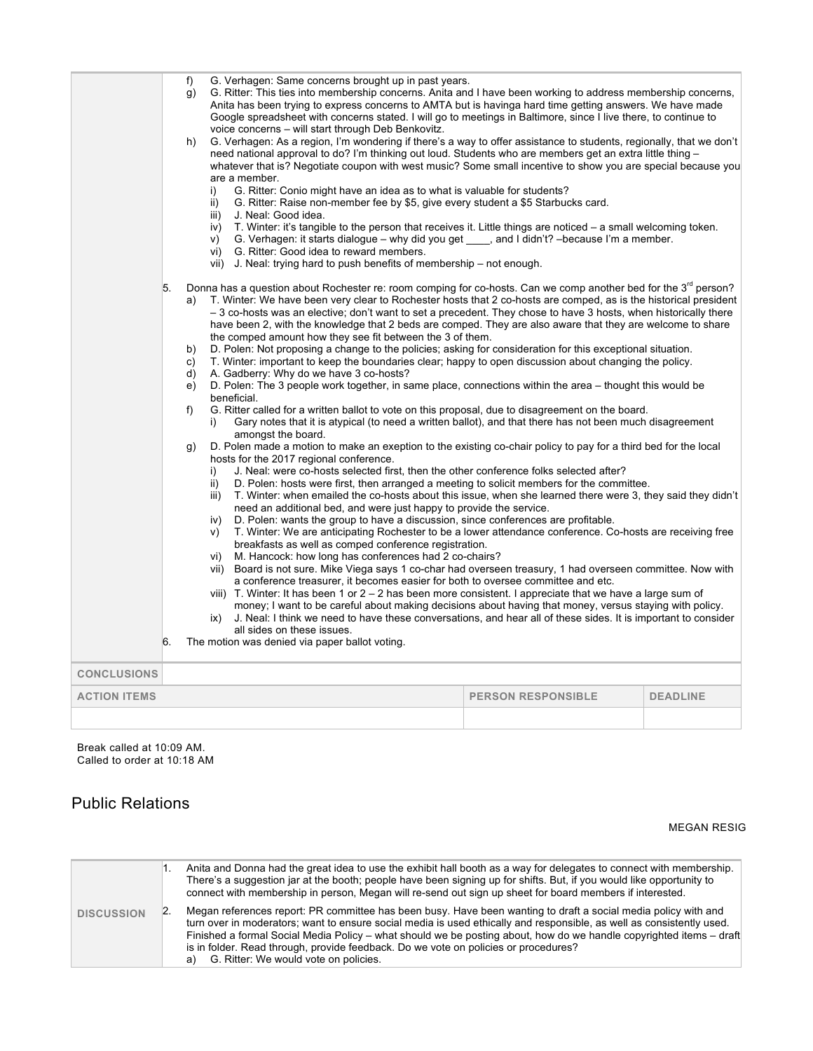|                     |          | f)<br>q)<br>h)<br>i)<br>ii)<br>iii)<br>iv)<br>V)                                                                                | voice concerns - will start through Deb Benkovitz.<br>are a member.<br>J. Neal: Good idea.<br>vi) G. Ritter: Good idea to reward members.                                                | G. Verhagen: Same concerns brought up in past years.<br>G. Ritter: Conio might have an idea as to what is valuable for students?<br>vii) J. Neal: trying hard to push benefits of membership – not enough.                                         | G. Ritter: This ties into membership concerns. Anita and I have been working to address membership concerns,<br>Anita has been trying to express concerns to AMTA but is havinga hard time getting answers. We have made<br>Google spreadsheet with concerns stated. I will go to meetings in Baltimore, since I live there, to continue to<br>G. Verhagen: As a region, I'm wondering if there's a way to offer assistance to students, regionally, that we don't<br>need national approval to do? I'm thinking out loud. Students who are members get an extra little thing -<br>whatever that is? Negotiate coupon with west music? Some small incentive to show you are special because you<br>G. Ritter: Raise non-member fee by \$5, give every student a \$5 Starbucks card.<br>T. Winter: it's tangible to the person that receives it. Little things are noticed – a small welcoming token.<br>G. Verhagen: it starts dialogue – why did you get ____, and I didn't? – because I'm a member.                                                                                                                                                                                                                                                                                                                                                                                                                                                                                                                                                                                                                                                                                                                                                                                                                                                                                                                                                                                                                                                                                                                                                                                                       |                 |
|---------------------|----------|---------------------------------------------------------------------------------------------------------------------------------|------------------------------------------------------------------------------------------------------------------------------------------------------------------------------------------|----------------------------------------------------------------------------------------------------------------------------------------------------------------------------------------------------------------------------------------------------|-------------------------------------------------------------------------------------------------------------------------------------------------------------------------------------------------------------------------------------------------------------------------------------------------------------------------------------------------------------------------------------------------------------------------------------------------------------------------------------------------------------------------------------------------------------------------------------------------------------------------------------------------------------------------------------------------------------------------------------------------------------------------------------------------------------------------------------------------------------------------------------------------------------------------------------------------------------------------------------------------------------------------------------------------------------------------------------------------------------------------------------------------------------------------------------------------------------------------------------------------------------------------------------------------------------------------------------------------------------------------------------------------------------------------------------------------------------------------------------------------------------------------------------------------------------------------------------------------------------------------------------------------------------------------------------------------------------------------------------------------------------------------------------------------------------------------------------------------------------------------------------------------------------------------------------------------------------------------------------------------------------------------------------------------------------------------------------------------------------------------------------------------------------------------------------------------------------|-----------------|
|                     | 5.<br>6. | a)<br>b)<br>C)<br>d)<br>e)<br>beneficial.<br>f)<br>i)<br>$\mathfrak{g}$<br>i)<br>ii)<br>iii)<br>iv)<br>V)<br>vi)<br>vii)<br>ix) | A. Gadberry: Why do we have 3 co-hosts?<br>amongst the board.<br>hosts for the 2017 regional conference.<br>all sides on these issues.<br>The motion was denied via paper ballot voting. | the comped amount how they see fit between the 3 of them.<br>need an additional bed, and were just happy to provide the service.<br>breakfasts as well as comped conference registration.<br>M. Hancock: how long has conferences had 2 co-chairs? | Donna has a question about Rochester re: room comping for co-hosts. Can we comp another bed for the 3 <sup>rd</sup> person?<br>T. Winter: We have been very clear to Rochester hosts that 2 co-hosts are comped, as is the historical president<br>-3 co-hosts was an elective; don't want to set a precedent. They chose to have 3 hosts, when historically there<br>have been 2, with the knowledge that 2 beds are comped. They are also aware that they are welcome to share<br>D. Polen: Not proposing a change to the policies; asking for consideration for this exceptional situation.<br>T. Winter: important to keep the boundaries clear; happy to open discussion about changing the policy.<br>D. Polen: The 3 people work together, in same place, connections within the area – thought this would be<br>G. Ritter called for a written ballot to vote on this proposal, due to disagreement on the board.<br>Gary notes that it is atypical (to need a written ballot), and that there has not been much disagreement<br>D. Polen made a motion to make an exeption to the existing co-chair policy to pay for a third bed for the local<br>J. Neal: were co-hosts selected first, then the other conference folks selected after?<br>D. Polen: hosts were first, then arranged a meeting to solicit members for the committee.<br>T. Winter: when emailed the co-hosts about this issue, when she learned there were 3, they said they didn't<br>D. Polen: wants the group to have a discussion, since conferences are profitable.<br>T. Winter: We are anticipating Rochester to be a lower attendance conference. Co-hosts are receiving free<br>Board is not sure. Mike Viega says 1 co-char had overseen treasury, 1 had overseen committee. Now with<br>a conference treasurer, it becomes easier for both to oversee committee and etc.<br>viii) T. Winter: It has been 1 or $2 - 2$ has been more consistent. I appreciate that we have a large sum of<br>money; I want to be careful about making decisions about having that money, versus staying with policy.<br>J. Neal: I think we need to have these conversations, and hear all of these sides. It is important to consider |                 |
| <b>CONCLUSIONS</b>  |          |                                                                                                                                 |                                                                                                                                                                                          |                                                                                                                                                                                                                                                    |                                                                                                                                                                                                                                                                                                                                                                                                                                                                                                                                                                                                                                                                                                                                                                                                                                                                                                                                                                                                                                                                                                                                                                                                                                                                                                                                                                                                                                                                                                                                                                                                                                                                                                                                                                                                                                                                                                                                                                                                                                                                                                                                                                                                             |                 |
| <b>ACTION ITEMS</b> |          |                                                                                                                                 |                                                                                                                                                                                          |                                                                                                                                                                                                                                                    | <b>PERSON RESPONSIBLE</b>                                                                                                                                                                                                                                                                                                                                                                                                                                                                                                                                                                                                                                                                                                                                                                                                                                                                                                                                                                                                                                                                                                                                                                                                                                                                                                                                                                                                                                                                                                                                                                                                                                                                                                                                                                                                                                                                                                                                                                                                                                                                                                                                                                                   | <b>DEADLINE</b> |
|                     |          |                                                                                                                                 |                                                                                                                                                                                          |                                                                                                                                                                                                                                                    |                                                                                                                                                                                                                                                                                                                                                                                                                                                                                                                                                                                                                                                                                                                                                                                                                                                                                                                                                                                                                                                                                                                                                                                                                                                                                                                                                                                                                                                                                                                                                                                                                                                                                                                                                                                                                                                                                                                                                                                                                                                                                                                                                                                                             |                 |

Break called at 10:09 AM. Called to order at 10:18 AM

## Public Relations

MEGAN RESIG

|                   | Anita and Donna had the great idea to use the exhibit hall booth as a way for delegates to connect with membership.<br>There's a suggestion jar at the booth; people have been signing up for shifts. But, if you would like opportunity to<br>connect with membership in person, Megan will re-send out sign up sheet for board members if interested.                                                                                                                                           |
|-------------------|---------------------------------------------------------------------------------------------------------------------------------------------------------------------------------------------------------------------------------------------------------------------------------------------------------------------------------------------------------------------------------------------------------------------------------------------------------------------------------------------------|
| <b>DISCUSSION</b> | Megan references report: PR committee has been busy. Have been wanting to draft a social media policy with and<br>turn over in moderators; want to ensure social media is used ethically and responsible, as well as consistently used.<br>Finished a formal Social Media Policy – what should we be posting about, how do we handle copyrighted items – draft<br>is in folder. Read through, provide feedback. Do we vote on policies or procedures?<br>a) G. Ritter: We would vote on policies. |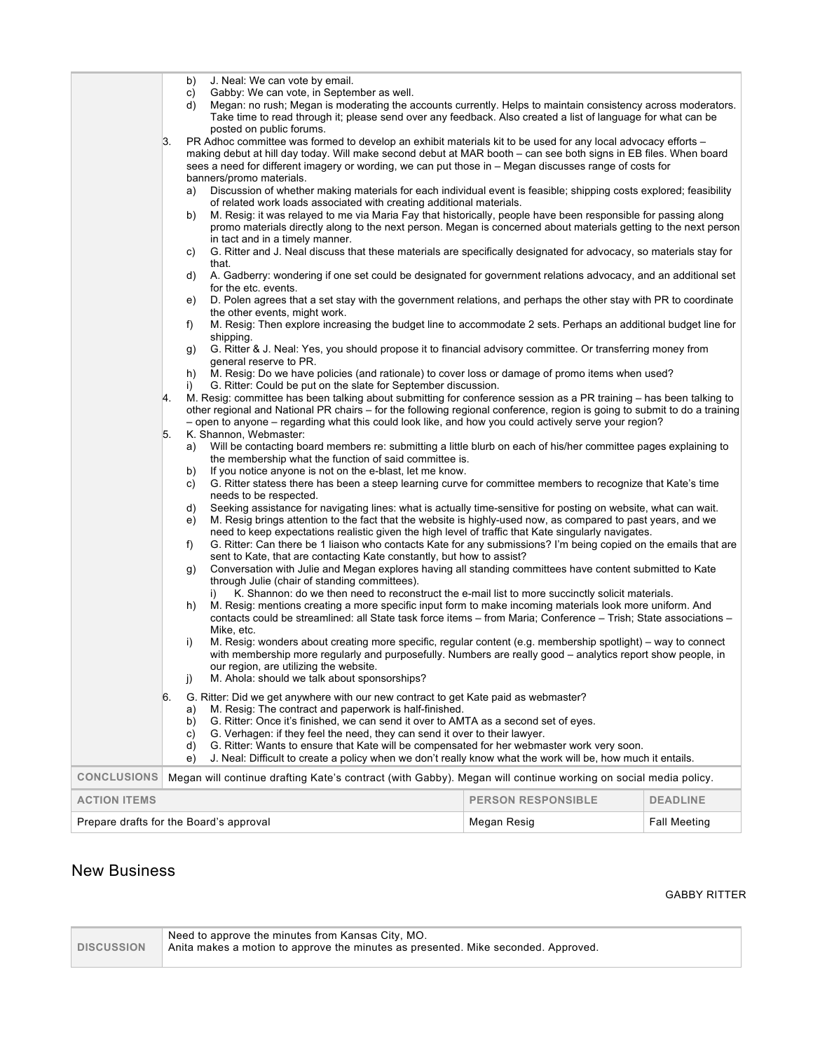|                                                                     | b)<br>C)<br>d)                                                                                                                                                                                                                                                                                                                                                                                                                                                                                                                                                                                                                                                          | J. Neal: We can vote by email.<br>Gabby: We can vote, in September as well.<br>Megan: no rush; Megan is moderating the accounts currently. Helps to maintain consistency across moderators.<br>Take time to read through it; please send over any feedback. Also created a list of language for what can be<br>posted on public forums.                                 |             |                     |
|---------------------------------------------------------------------|-------------------------------------------------------------------------------------------------------------------------------------------------------------------------------------------------------------------------------------------------------------------------------------------------------------------------------------------------------------------------------------------------------------------------------------------------------------------------------------------------------------------------------------------------------------------------------------------------------------------------------------------------------------------------|-------------------------------------------------------------------------------------------------------------------------------------------------------------------------------------------------------------------------------------------------------------------------------------------------------------------------------------------------------------------------|-------------|---------------------|
|                                                                     | 3.                                                                                                                                                                                                                                                                                                                                                                                                                                                                                                                                                                                                                                                                      | PR Adhoc committee was formed to develop an exhibit materials kit to be used for any local advocacy efforts –<br>making debut at hill day today. Will make second debut at MAR booth – can see both signs in EB files. When board<br>sees a need for different imagery or wording, we can put those in – Megan discusses range of costs for<br>banners/promo materials. |             |                     |
|                                                                     | a)<br>b)                                                                                                                                                                                                                                                                                                                                                                                                                                                                                                                                                                                                                                                                | Discussion of whether making materials for each individual event is feasible; shipping costs explored; feasibility<br>of related work loads associated with creating additional materials.<br>M. Resig: it was relayed to me via Maria Fay that historically, people have been responsible for passing along                                                            |             |                     |
|                                                                     | C)                                                                                                                                                                                                                                                                                                                                                                                                                                                                                                                                                                                                                                                                      | promo materials directly along to the next person. Megan is concerned about materials getting to the next person<br>in tact and in a timely manner.<br>G. Ritter and J. Neal discuss that these materials are specifically designated for advocacy, so materials stay for                                                                                               |             |                     |
|                                                                     | d)                                                                                                                                                                                                                                                                                                                                                                                                                                                                                                                                                                                                                                                                      | that.<br>A. Gadberry: wondering if one set could be designated for government relations advocacy, and an additional set<br>for the etc. events.                                                                                                                                                                                                                         |             |                     |
|                                                                     | e)                                                                                                                                                                                                                                                                                                                                                                                                                                                                                                                                                                                                                                                                      | D. Polen agrees that a set stay with the government relations, and perhaps the other stay with PR to coordinate<br>the other events, might work.                                                                                                                                                                                                                        |             |                     |
|                                                                     | f)<br>g)                                                                                                                                                                                                                                                                                                                                                                                                                                                                                                                                                                                                                                                                | M. Resig: Then explore increasing the budget line to accommodate 2 sets. Perhaps an additional budget line for<br>shipping.<br>G. Ritter & J. Neal: Yes, you should propose it to financial advisory committee. Or transferring money from                                                                                                                              |             |                     |
|                                                                     | h)<br>i)                                                                                                                                                                                                                                                                                                                                                                                                                                                                                                                                                                                                                                                                | general reserve to PR.<br>M. Resig: Do we have policies (and rationale) to cover loss or damage of promo items when used?<br>G. Ritter: Could be put on the slate for September discussion.                                                                                                                                                                             |             |                     |
|                                                                     | M. Resig: committee has been talking about submitting for conference session as a PR training – has been talking to<br>4.<br>other regional and National PR chairs – for the following regional conference, region is going to submit to do a training<br>- open to anyone - regarding what this could look like, and how you could actively serve your region?                                                                                                                                                                                                                                                                                                         |                                                                                                                                                                                                                                                                                                                                                                         |             |                     |
|                                                                     | 5.<br>a)<br>b)                                                                                                                                                                                                                                                                                                                                                                                                                                                                                                                                                                                                                                                          | K. Shannon, Webmaster:<br>Will be contacting board members re: submitting a little blurb on each of his/her committee pages explaining to<br>the membership what the function of said committee is.<br>If you notice anyone is not on the e-blast, let me know.                                                                                                         |             |                     |
|                                                                     | C)                                                                                                                                                                                                                                                                                                                                                                                                                                                                                                                                                                                                                                                                      | G. Ritter statess there has been a steep learning curve for committee members to recognize that Kate's time<br>needs to be respected.                                                                                                                                                                                                                                   |             |                     |
|                                                                     | Seeking assistance for navigating lines: what is actually time-sensitive for posting on website, what can wait.<br>d)<br>M. Resig brings attention to the fact that the website is highly-used now, as compared to past years, and we<br>e)<br>need to keep expectations realistic given the high level of traffic that Kate singularly navigates.<br>G. Ritter: Can there be 1 liaison who contacts Kate for any submissions? I'm being copied on the emails that are<br>f)<br>sent to Kate, that are contacting Kate constantly, but how to assist?<br>Conversation with Julie and Megan explores having all standing committees have content submitted to Kate<br>g) |                                                                                                                                                                                                                                                                                                                                                                         |             |                     |
|                                                                     |                                                                                                                                                                                                                                                                                                                                                                                                                                                                                                                                                                                                                                                                         |                                                                                                                                                                                                                                                                                                                                                                         |             |                     |
|                                                                     | h)                                                                                                                                                                                                                                                                                                                                                                                                                                                                                                                                                                                                                                                                      | through Julie (chair of standing committees).<br>K. Shannon: do we then need to reconstruct the e-mail list to more succinctly solicit materials.<br>i)<br>M. Resig: mentions creating a more specific input form to make incoming materials look more uniform. And                                                                                                     |             |                     |
|                                                                     | contacts could be streamlined: all State task force items – from Maria; Conference – Trish; State associations –<br>Mike, etc.<br>M. Resig: wonders about creating more specific, regular content (e.g. membership spotlight) – way to connect<br>i)<br>with membership more regularly and purposefully. Numbers are really good - analytics report show people, in<br>our region, are utilizing the website.<br>M. Ahola: should we talk about sponsorships?                                                                                                                                                                                                           |                                                                                                                                                                                                                                                                                                                                                                         |             |                     |
|                                                                     | j)<br>6.<br>G. Ritter: Did we get anywhere with our new contract to get Kate paid as webmaster?<br>M. Resig: The contract and paperwork is half-finished.<br>a)<br>G. Ritter: Once it's finished, we can send it over to AMTA as a second set of eyes.<br>b)<br>G. Verhagen: if they feel the need, they can send it over to their lawyer.<br>C)<br>G. Ritter: Wants to ensure that Kate will be compensated for her webmaster work very soon.<br>d)<br>J. Neal: Difficult to create a policy when we don't really know what the work will be, how much it entails.<br>e)                                                                                               |                                                                                                                                                                                                                                                                                                                                                                         |             |                     |
| <b>CONCLUSIONS</b>                                                  |                                                                                                                                                                                                                                                                                                                                                                                                                                                                                                                                                                                                                                                                         | Megan will continue drafting Kate's contract (with Gabby). Megan will continue working on social media policy.                                                                                                                                                                                                                                                          |             |                     |
| <b>ACTION ITEMS</b><br><b>PERSON RESPONSIBLE</b><br><b>DEADLINE</b> |                                                                                                                                                                                                                                                                                                                                                                                                                                                                                                                                                                                                                                                                         |                                                                                                                                                                                                                                                                                                                                                                         |             |                     |
| Prepare drafts for the Board's approval                             |                                                                                                                                                                                                                                                                                                                                                                                                                                                                                                                                                                                                                                                                         |                                                                                                                                                                                                                                                                                                                                                                         | Megan Resig | <b>Fall Meeting</b> |

# New Business

#### GABBY RITTER

| <b>DISCUSSION</b> | Need to approve the minutes from Kansas City, MO.<br>Anita makes a motion to approve the minutes as presented. Mike seconded. Approved. |
|-------------------|-----------------------------------------------------------------------------------------------------------------------------------------|
|                   |                                                                                                                                         |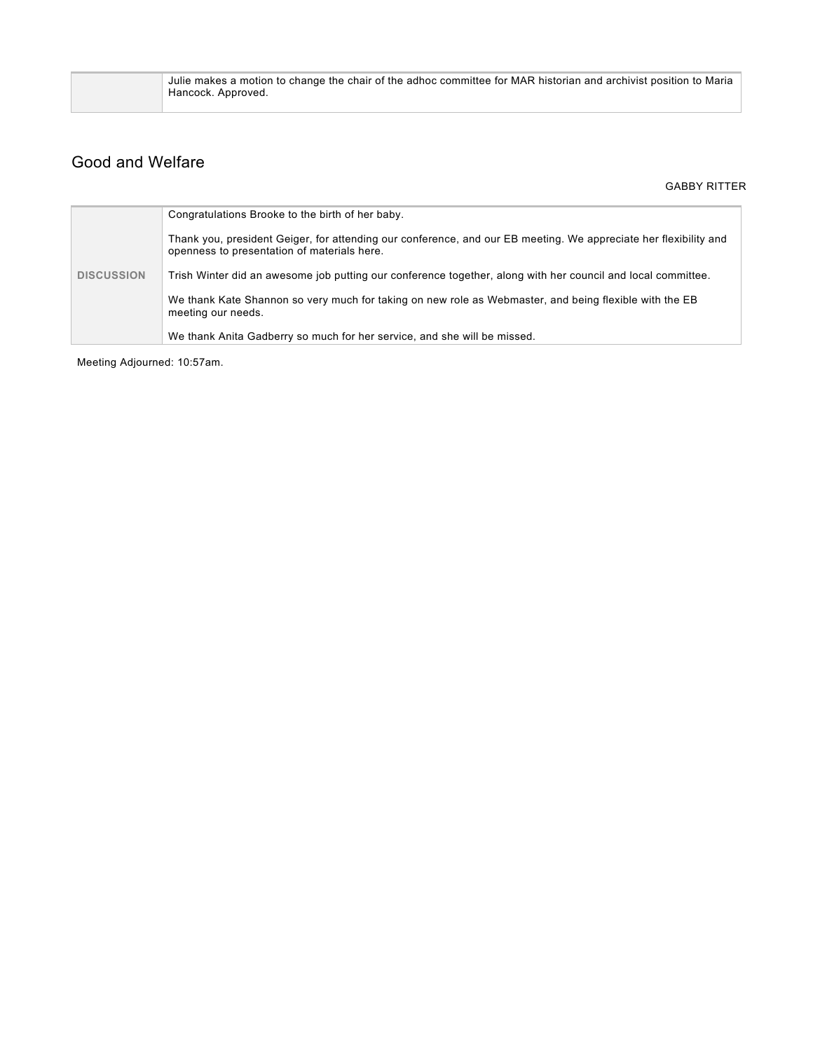| Julie makes a motion to change the chair of the adhoc committee for MAR historian and archivist position to Maria<br>Hancock. Approved. |
|-----------------------------------------------------------------------------------------------------------------------------------------|
|                                                                                                                                         |

## Good and Welfare

GABBY RITTER

|                   | Congratulations Brooke to the birth of her baby.                                                                                                                |  |
|-------------------|-----------------------------------------------------------------------------------------------------------------------------------------------------------------|--|
| <b>DISCUSSION</b> | Thank you, president Geiger, for attending our conference, and our EB meeting. We appreciate her flexibility and<br>openness to presentation of materials here. |  |
|                   | Trish Winter did an awesome job putting our conference together, along with her council and local committee.                                                    |  |
|                   | We thank Kate Shannon so very much for taking on new role as Webmaster, and being flexible with the EB<br>meeting our needs.                                    |  |
|                   | We thank Anita Gadberry so much for her service, and she will be missed.                                                                                        |  |

Meeting Adjourned: 10:57am.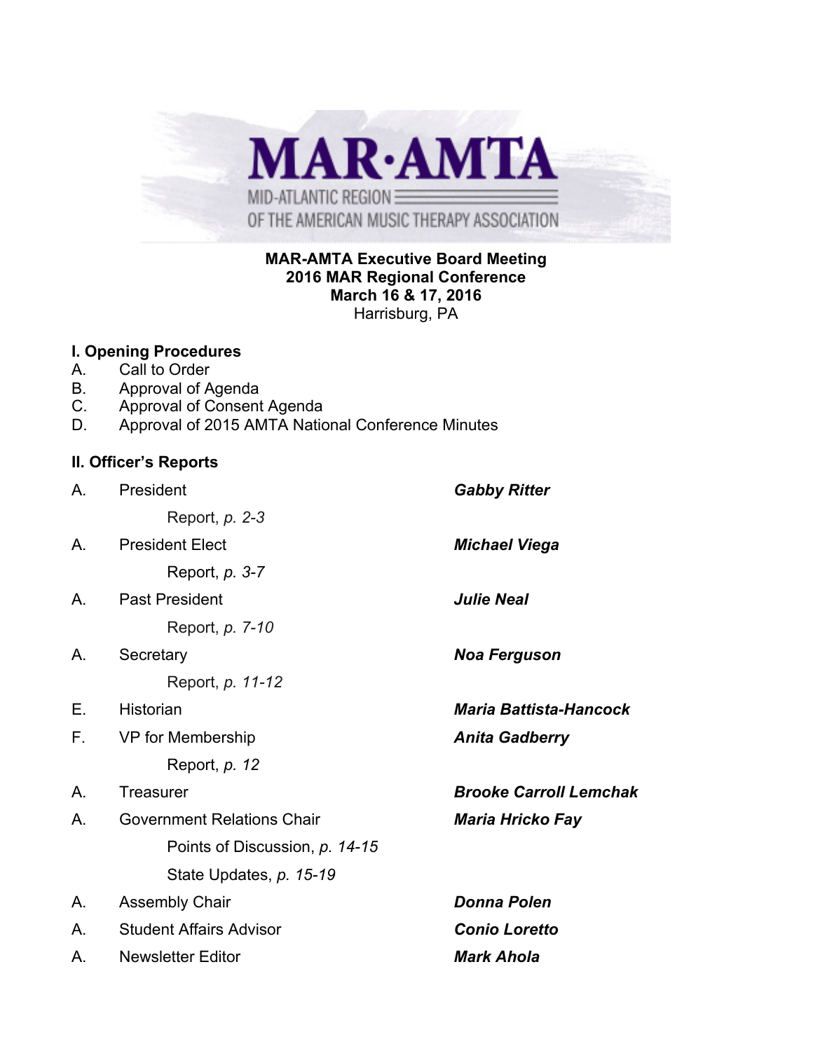

### **MAR-AMTA Executive Board Meeting 2016 MAR Regional Conference March 16 & 17, 2016** Harrisburg, PA

#### **I. Opening Procedures**

- A. Call to Order
- B. Approval of Agenda
- C. Approval of Consent Agenda
- D. Approval of 2015 AMTA National Conference Minutes

### **II. Officer's Reports**

| Α. | President                         | <b>Gabby Ritter</b>           |  |
|----|-----------------------------------|-------------------------------|--|
|    | Report, p. 2-3                    |                               |  |
| Α. | <b>President Elect</b>            | <b>Michael Viega</b>          |  |
|    | Report, <i>p.</i> 3-7             |                               |  |
| Α. | <b>Past President</b>             | <b>Julie Neal</b>             |  |
|    | Report, <i>p.</i> 7-10            |                               |  |
| Α. | Secretary                         | <b>Noa Ferguson</b>           |  |
|    | Report, p. 11-12                  |                               |  |
| Е. | Historian                         | <b>Maria Battista-Hancock</b> |  |
| F. | VP for Membership                 | <b>Anita Gadberry</b>         |  |
|    | Report, p. 12                     |                               |  |
| Α. | Treasurer                         | <b>Brooke Carroll Lemchak</b> |  |
| Α. | <b>Government Relations Chair</b> | <b>Maria Hricko Fay</b>       |  |
|    | Points of Discussion, p. 14-15    |                               |  |
|    | State Updates, p. 15-19           |                               |  |
| Α. | <b>Assembly Chair</b>             | <b>Donna Polen</b>            |  |
| Α. | <b>Student Affairs Advisor</b>    | <b>Conio Loretto</b>          |  |
| Α. | <b>Newsletter Editor</b>          | <b>Mark Ahola</b>             |  |
|    |                                   |                               |  |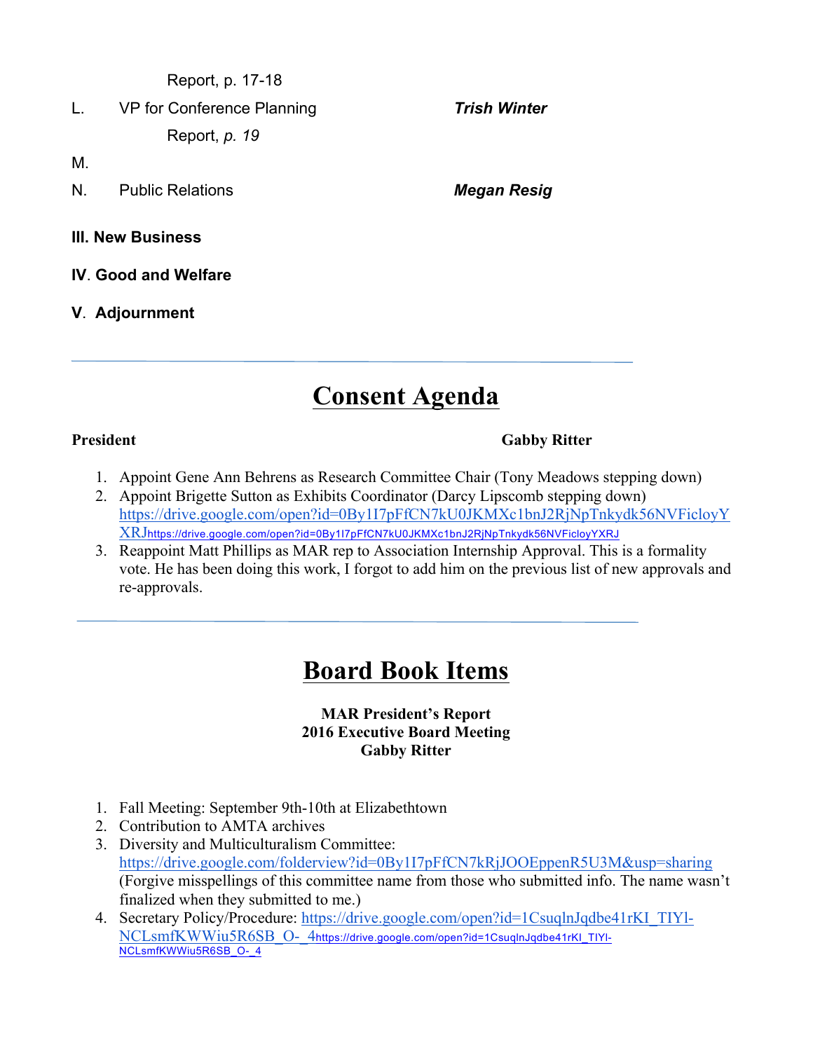Report, p. 17-18

L. VP for Conference Planning *Trish Winter* Report, *p. 19*

M.

- N. Public Relations *Megan Resig*
- **III. New Business**
- **IV**. **Good and Welfare**
- **V**. **Adjournment**

# **Consent Agenda**

#### **President Gabby Ritter**

- 1. Appoint Gene Ann Behrens as Research Committee Chair (Tony Meadows stepping down)
- 2. Appoint Brigette Sutton as Exhibits Coordinator (Darcy Lipscomb stepping down) https://drive.google.com/open?id=0By1I7pFfCN7kU0JKMXc1bnJ2RjNpTnkydk56NVFicloyY XRJhttps://drive.google.com/open?id=0By1I7pFfCN7kU0JKMXc1bnJ2RjNpTnkydk56NVFicloyYXRJ
- 3. Reappoint Matt Phillips as MAR rep to Association Internship Approval. This is a formality vote. He has been doing this work, I forgot to add him on the previous list of new approvals and re-approvals.

# **Board Book Items**

#### **MAR President's Report 2016 Executive Board Meeting Gabby Ritter**

- 1. Fall Meeting: September 9th-10th at Elizabethtown
- 2. Contribution to AMTA archives
- 3. Diversity and Multiculturalism Committee: https://drive.google.com/folderview?id=0By1I7pFfCN7kRjJOOEppenR5U3M&usp=sharing (Forgive misspellings of this committee name from those who submitted info. The name wasn't finalized when they submitted to me.)
- 4. Secretary Policy/Procedure: https://drive.google.com/open?id=1CsuqlnJqdbe41rKI\_TIYl-NCLsmfKWWiu5R6SB\_O-\_4https://drive.google.com/open?id=1CsuqlnJqdbe41rKI\_TIYl-NCLsmfKWWiu5R6SB\_O-\_4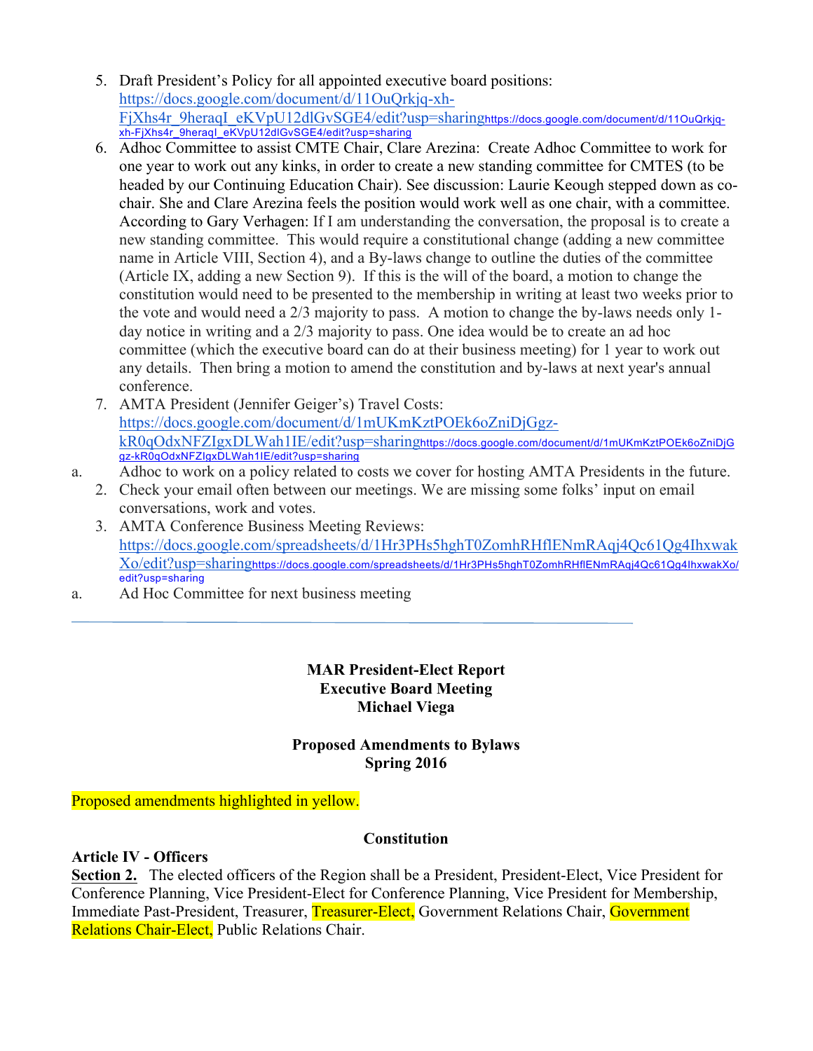- 5. Draft President's Policy for all appointed executive board positions: https://docs.google.com/document/d/11OuQrkjq-xh-FjXhs4r\_9heraqI\_eKVpU12dlGvSGE4/edit?usp=sharinghttps://docs.google.com/document/d/11OuQrkjqxh-FjXhs4r\_9heraqI\_eKVpU12dlGvSGE4/edit?usp=sharing
- 6. Adhoc Committee to assist CMTE Chair, Clare Arezina: Create Adhoc Committee to work for one year to work out any kinks, in order to create a new standing committee for CMTES (to be headed by our Continuing Education Chair). See discussion: Laurie Keough stepped down as cochair. She and Clare Arezina feels the position would work well as one chair, with a committee. According to Gary Verhagen: If I am understanding the conversation, the proposal is to create a new standing committee. This would require a constitutional change (adding a new committee name in Article VIII, Section 4), and a By-laws change to outline the duties of the committee (Article IX, adding a new Section 9). If this is the will of the board, a motion to change the constitution would need to be presented to the membership in writing at least two weeks prior to the vote and would need a 2/3 majority to pass. A motion to change the by-laws needs only 1 day notice in writing and a 2/3 majority to pass. One idea would be to create an ad hoc committee (which the executive board can do at their business meeting) for 1 year to work out any details. Then bring a motion to amend the constitution and by-laws at next year's annual conference.
- 7. AMTA President (Jennifer Geiger's) Travel Costs: https://docs.google.com/document/d/1mUKmKztPOEk6oZniDjGgzkR0qOdxNFZIgxDLWah1IE/edit?usp=sharinghttps://docs.google.com/document/d/1mUKmKztPOEk6oZniDjG gz-kR0qOdxNFZIgxDLWah1IE/edit?usp=sharing
- a. Adhoc to work on a policy related to costs we cover for hosting AMTA Presidents in the future.
	- 2. Check your email often between our meetings. We are missing some folks' input on email conversations, work and votes.
	- 3. AMTA Conference Business Meeting Reviews: https://docs.google.com/spreadsheets/d/1Hr3PHs5hghT0ZomhRHflENmRAqj4Qc61Qg4Ihxwak Xo/edit?usp=sharinghttps://docs.google.com/spreadsheets/d/1Hr3PHs5hghT0ZomhRHflENmRAqj4Qc61Qg4IhxwakXo/ edit?usp=sharing
- a. Ad Hoc Committee for next business meeting

#### **MAR President-Elect Report Executive Board Meeting Michael Viega**

#### **Proposed Amendments to Bylaws Spring 2016**

Proposed amendments highlighted in yellow.

#### **Constitution**

### **Article IV - Officers**

**Section 2.** The elected officers of the Region shall be a President, President-Elect, Vice President for Conference Planning, Vice President-Elect for Conference Planning, Vice President for Membership, Immediate Past-President, Treasurer, Treasurer-Elect, Government Relations Chair, Government Relations Chair-Elect, Public Relations Chair.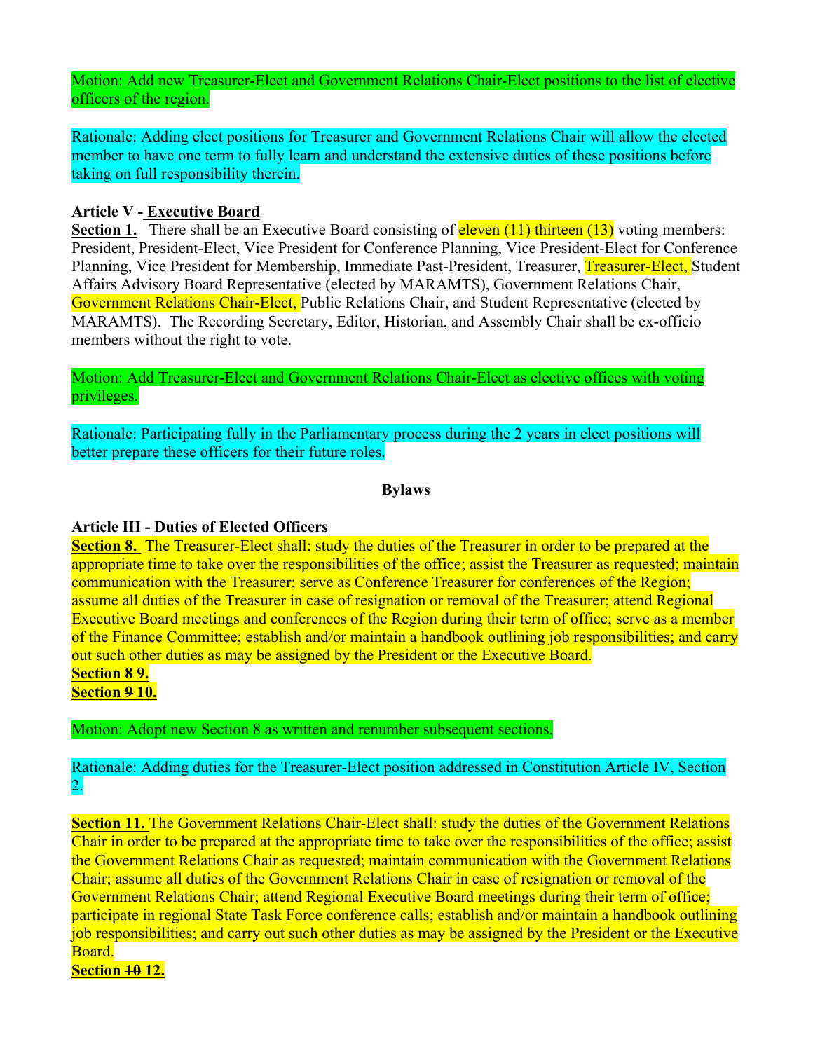Motion: Add new Treasurer-Elect and Government Relations Chair-Elect positions to the list of elective officers of the region.

Rationale: Adding elect positions for Treasurer and Government Relations Chair will allow the elected member to have one term to fully learn and understand the extensive duties of these positions before taking on full responsibility therein.

#### **Article V - Executive Board**

**Section 1.** There shall be an Executive Board consisting of **eleven** (11) thirteen (13) voting members: President, President-Elect, Vice President for Conference Planning, Vice President-Elect for Conference Planning, Vice President for Membership, Immediate Past-President, Treasurer, Treasurer-Elect, Student Affairs Advisory Board Representative (elected by MARAMTS), Government Relations Chair, Government Relations Chair-Elect, Public Relations Chair, and Student Representative (elected by MARAMTS). The Recording Secretary, Editor, Historian, and Assembly Chair shall be ex-officio members without the right to vote.

Motion: Add Treasurer-Elect and Government Relations Chair-Elect as elective offices with voting privileges.

Rationale: Participating fully in the Parliamentary process during the 2 years in elect positions will better prepare these officers for their future roles.

#### **Bylaws**

#### **Article III - Duties of Elected Officers**

**Section 8.** The Treasurer-Elect shall: study the duties of the Treasurer in order to be prepared at the appropriate time to take over the responsibilities of the office; assist the Treasurer as requested; maintain communication with the Treasurer; serve as Conference Treasurer for conferences of the Region; assume all duties of the Treasurer in case of resignation or removal of the Treasurer; attend Regional Executive Board meetings and conferences of the Region during their term of office; serve as a member of the Finance Committee; establish and/or maintain a handbook outlining job responsibilities; and carry out such other duties as may be assigned by the President or the Executive Board. **Section 8 9.**

**Section 9 10.**

Motion: Adopt new Section 8 as written and renumber subsequent sections.

Rationale: Adding duties for the Treasurer-Elect position addressed in Constitution Article IV, Section 2.

**Section 11.** The Government Relations Chair-Elect shall: study the duties of the Government Relations Chair in order to be prepared at the appropriate time to take over the responsibilities of the office; assist the Government Relations Chair as requested; maintain communication with the Government Relations Chair; assume all duties of the Government Relations Chair in case of resignation or removal of the Government Relations Chair; attend Regional Executive Board meetings during their term of office; participate in regional State Task Force conference calls; establish and/or maintain a handbook outlining job responsibilities; and carry out such other duties as may be assigned by the President or the Executive Board.

**Section 10 12.**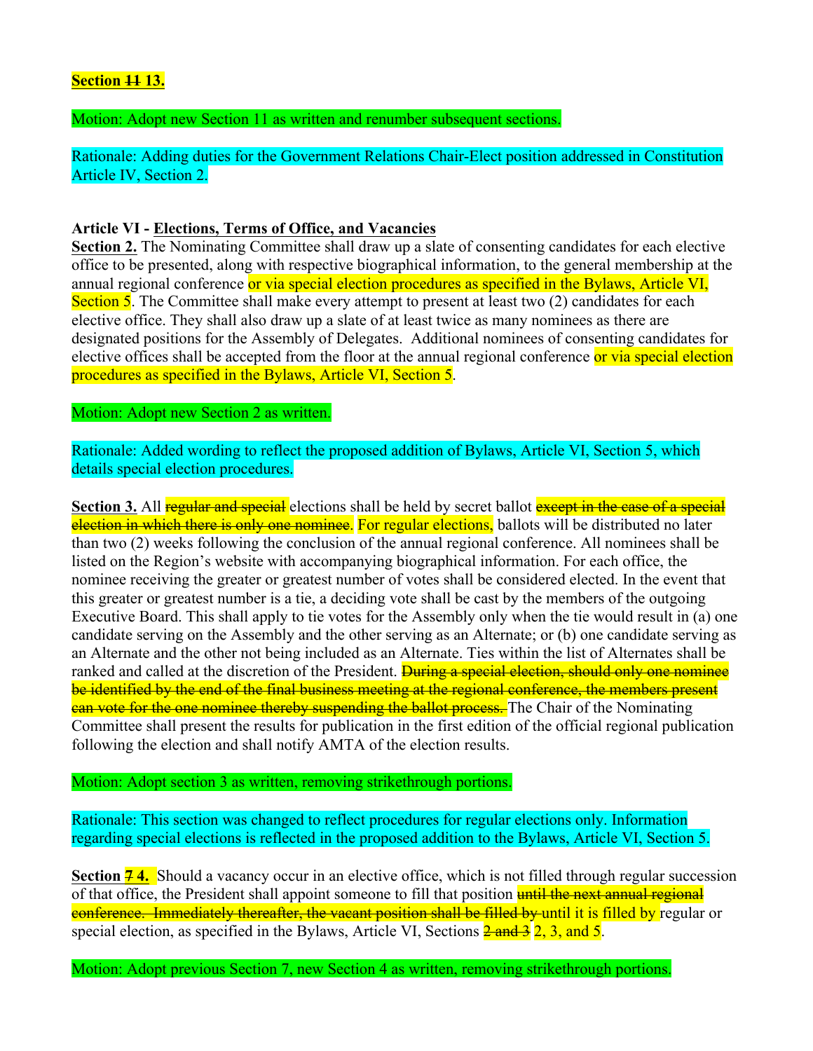#### **Section 11 13.**

Motion: Adopt new Section 11 as written and renumber subsequent sections.

Rationale: Adding duties for the Government Relations Chair-Elect position addressed in Constitution Article IV, Section 2.

#### **Article VI - Elections, Terms of Office, and Vacancies**

**Section 2.** The Nominating Committee shall draw up a slate of consenting candidates for each elective office to be presented, along with respective biographical information, to the general membership at the annual regional conference or via special election procedures as specified in the Bylaws, Article VI, Section 5. The Committee shall make every attempt to present at least two (2) candidates for each elective office. They shall also draw up a slate of at least twice as many nominees as there are designated positions for the Assembly of Delegates. Additional nominees of consenting candidates for elective offices shall be accepted from the floor at the annual regional conference or via special election procedures as specified in the Bylaws, Article VI, Section 5.

Motion: Adopt new Section 2 as written.

Rationale: Added wording to reflect the proposed addition of Bylaws, Article VI, Section 5, which details special election procedures.

**Section 3.** All **regular and special** elections shall be held by secret ballot **except in the case of a special** election in which there is only one nominee. For regular elections, ballots will be distributed no later than two (2) weeks following the conclusion of the annual regional conference. All nominees shall be listed on the Region's website with accompanying biographical information. For each office, the nominee receiving the greater or greatest number of votes shall be considered elected. In the event that this greater or greatest number is a tie, a deciding vote shall be cast by the members of the outgoing Executive Board. This shall apply to tie votes for the Assembly only when the tie would result in (a) one candidate serving on the Assembly and the other serving as an Alternate; or (b) one candidate serving as an Alternate and the other not being included as an Alternate. Ties within the list of Alternates shall be ranked and called at the discretion of the President. **During a special election, should only one nominee** be identified by the end of the final business meeting at the regional conference, the members present can vote for the one nominee thereby suspending the ballot process. The Chair of the Nominating Committee shall present the results for publication in the first edition of the official regional publication following the election and shall notify AMTA of the election results.

#### Motion: Adopt section 3 as written, removing strikethrough portions.

Rationale: This section was changed to reflect procedures for regular elections only. Information regarding special elections is reflected in the proposed addition to the Bylaws, Article VI, Section 5.

**Section 74.** Should a vacancy occur in an elective office, which is not filled through regular succession of that office, the President shall appoint someone to fill that position until the next annual regional **conference. Immediately thereafter, the vacant position shall be filled by until it is filled by regular or** special election, as specified in the Bylaws, Article VI, Sections  $\frac{2 \text{ and } 3}{2}$ ,  $\frac{3}{2}$ , and  $\frac{5}{2}$ .

Motion: Adopt previous Section 7, new Section 4 as written, removing strikethrough portions.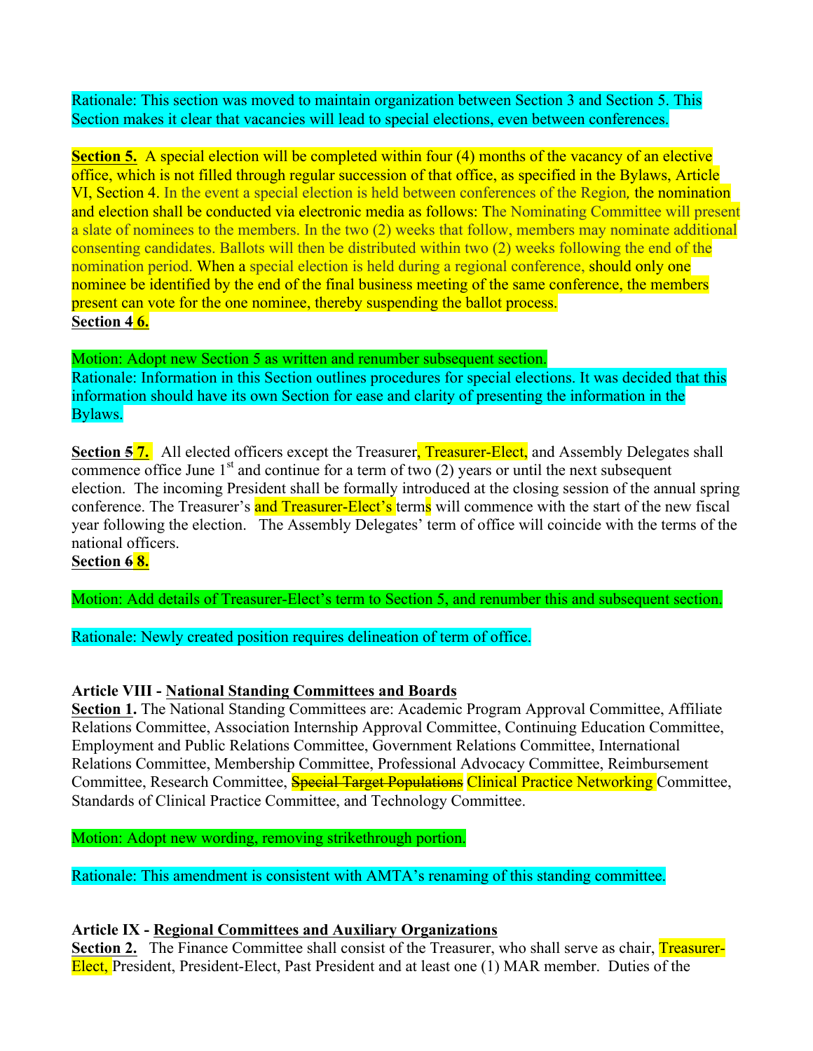Rationale: This section was moved to maintain organization between Section 3 and Section 5. This Section makes it clear that vacancies will lead to special elections, even between conferences.

**Section 5.** A special election will be completed within four (4) months of the vacancy of an elective office, which is not filled through regular succession of that office, as specified in the Bylaws, Article VI, Section 4. In the event a special election is held between conferences of the Region*,* the nomination and election shall be conducted via electronic media as follows: The Nominating Committee will present a slate of nominees to the members. In the two (2) weeks that follow, members may nominate additional consenting candidates. Ballots will then be distributed within two (2) weeks following the end of the nomination period. When a special election is held during a regional conference, should only one nominee be identified by the end of the final business meeting of the same conference, the members present can vote for the one nominee, thereby suspending the ballot process. **Section 4 6.**

Motion: Adopt new Section 5 as written and renumber subsequent section. Rationale: Information in this Section outlines procedures for special elections. It was decided that this information should have its own Section for ease and clarity of presenting the information in the Bylaws.

**Section 57.** All elected officers except the Treasurer, Treasurer-Elect, and Assembly Delegates shall commence office June  $1<sup>st</sup>$  and continue for a term of two (2) years or until the next subsequent election. The incoming President shall be formally introduced at the closing session of the annual spring conference. The Treasurer's and Treasurer-Elect's terms will commence with the start of the new fiscal year following the election. The Assembly Delegates' term of office will coincide with the terms of the national officers.

#### **Section 6 8.**

Motion: Add details of Treasurer-Elect's term to Section 5, and renumber this and subsequent section.

Rationale: Newly created position requires delineation of term of office.

#### **Article VIII - National Standing Committees and Boards**

**Section 1.** The National Standing Committees are: Academic Program Approval Committee, Affiliate Relations Committee, Association Internship Approval Committee, Continuing Education Committee, Employment and Public Relations Committee, Government Relations Committee, International Relations Committee, Membership Committee, Professional Advocacy Committee, Reimbursement Committee, Research Committee, Special Target Populations Clinical Practice Networking Committee, Standards of Clinical Practice Committee, and Technology Committee.

Motion: Adopt new wording, removing strikethrough portion.

Rationale: This amendment is consistent with AMTA's renaming of this standing committee.

#### **Article IX - Regional Committees and Auxiliary Organizations**

**Section 2.** The Finance Committee shall consist of the Treasurer, who shall serve as chair, Treasurer-Elect, President, President-Elect, Past President and at least one (1) MAR member. Duties of the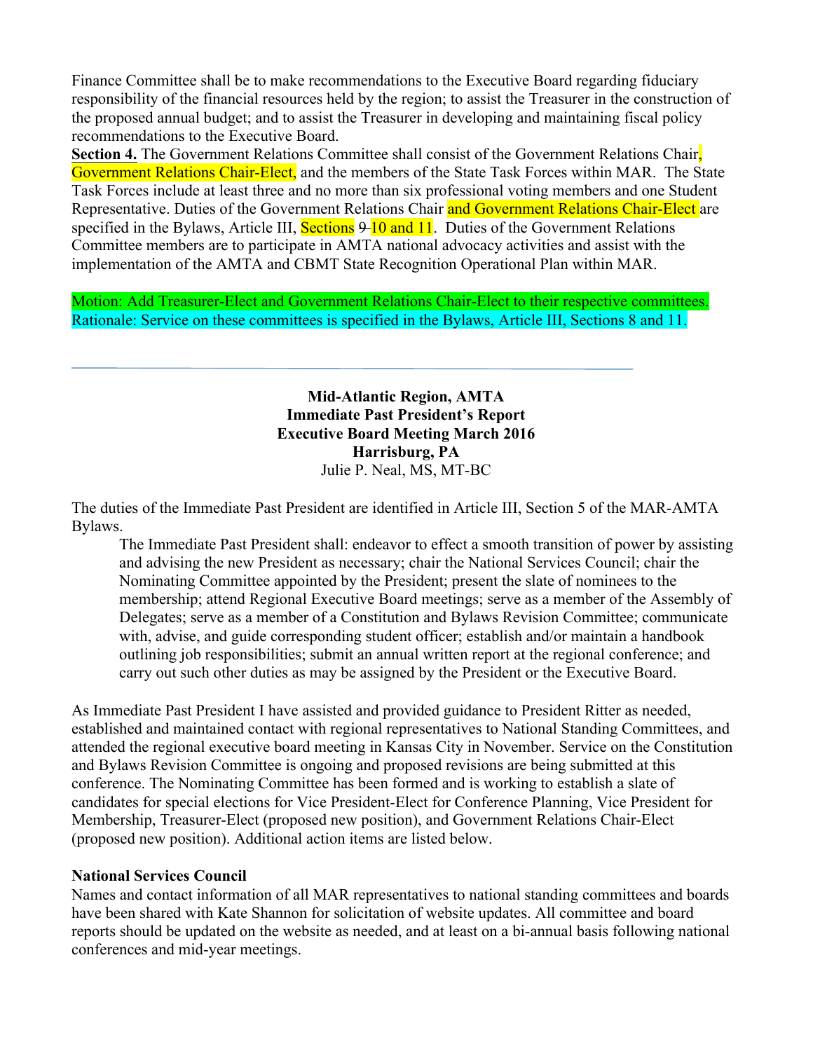Finance Committee shall be to make recommendations to the Executive Board regarding fiduciary responsibility of the financial resources held by the region; to assist the Treasurer in the construction of the proposed annual budget; and to assist the Treasurer in developing and maintaining fiscal policy recommendations to the Executive Board.

**Section 4.** The Government Relations Committee shall consist of the Government Relations Chair, Government Relations Chair-Elect, and the members of the State Task Forces within MAR. The State Task Forces include at least three and no more than six professional voting members and one Student Representative. Duties of the Government Relations Chair and Government Relations Chair-Elect are specified in the Bylaws, Article III, Sections  $9-10$  and 11. Duties of the Government Relations Committee members are to participate in AMTA national advocacy activities and assist with the implementation of the AMTA and CBMT State Recognition Operational Plan within MAR.

Motion: Add Treasurer-Elect and Government Relations Chair-Elect to their respective committees. Rationale: Service on these committees is specified in the Bylaws, Article III, Sections 8 and 11.

> **Mid-Atlantic Region, AMTA Immediate Past President's Report Executive Board Meeting March 2016 Harrisburg, PA** Julie P. Neal, MS, MT-BC

The duties of the Immediate Past President are identified in Article III, Section 5 of the MAR-AMTA Bylaws.

The Immediate Past President shall: endeavor to effect a smooth transition of power by assisting and advising the new President as necessary; chair the National Services Council; chair the Nominating Committee appointed by the President; present the slate of nominees to the membership; attend Regional Executive Board meetings; serve as a member of the Assembly of Delegates; serve as a member of a Constitution and Bylaws Revision Committee; communicate with, advise, and guide corresponding student officer; establish and/or maintain a handbook outlining job responsibilities; submit an annual written report at the regional conference; and carry out such other duties as may be assigned by the President or the Executive Board.

As Immediate Past President I have assisted and provided guidance to President Ritter as needed, established and maintained contact with regional representatives to National Standing Committees, and attended the regional executive board meeting in Kansas City in November. Service on the Constitution and Bylaws Revision Committee is ongoing and proposed revisions are being submitted at this conference. The Nominating Committee has been formed and is working to establish a slate of candidates for special elections for Vice President-Elect for Conference Planning, Vice President for Membership, Treasurer-Elect (proposed new position), and Government Relations Chair-Elect (proposed new position). Additional action items are listed below.

#### **National Services Council**

Names and contact information of all MAR representatives to national standing committees and boards have been shared with Kate Shannon for solicitation of website updates. All committee and board reports should be updated on the website as needed, and at least on a bi-annual basis following national conferences and mid-year meetings.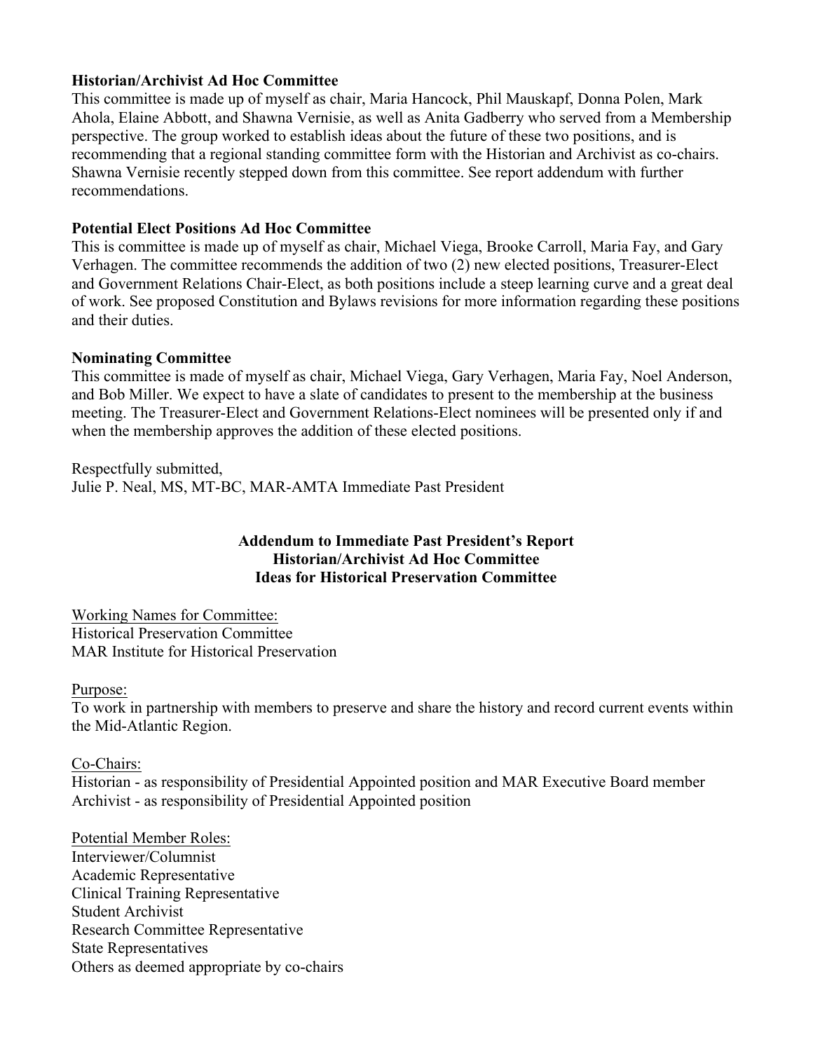#### **Historian/Archivist Ad Hoc Committee**

This committee is made up of myself as chair, Maria Hancock, Phil Mauskapf, Donna Polen, Mark Ahola, Elaine Abbott, and Shawna Vernisie, as well as Anita Gadberry who served from a Membership perspective. The group worked to establish ideas about the future of these two positions, and is recommending that a regional standing committee form with the Historian and Archivist as co-chairs. Shawna Vernisie recently stepped down from this committee. See report addendum with further recommendations.

#### **Potential Elect Positions Ad Hoc Committee**

This is committee is made up of myself as chair, Michael Viega, Brooke Carroll, Maria Fay, and Gary Verhagen. The committee recommends the addition of two (2) new elected positions, Treasurer-Elect and Government Relations Chair-Elect, as both positions include a steep learning curve and a great deal of work. See proposed Constitution and Bylaws revisions for more information regarding these positions and their duties.

#### **Nominating Committee**

This committee is made of myself as chair, Michael Viega, Gary Verhagen, Maria Fay, Noel Anderson, and Bob Miller. We expect to have a slate of candidates to present to the membership at the business meeting. The Treasurer-Elect and Government Relations-Elect nominees will be presented only if and when the membership approves the addition of these elected positions.

Respectfully submitted, Julie P. Neal, MS, MT-BC, MAR-AMTA Immediate Past President

#### **Addendum to Immediate Past President's Report Historian/Archivist Ad Hoc Committee Ideas for Historical Preservation Committee**

Working Names for Committee: Historical Preservation Committee MAR Institute for Historical Preservation

#### Purpose:

To work in partnership with members to preserve and share the history and record current events within the Mid-Atlantic Region.

#### Co-Chairs:

Historian - as responsibility of Presidential Appointed position and MAR Executive Board member Archivist - as responsibility of Presidential Appointed position

Potential Member Roles: Interviewer/Columnist Academic Representative Clinical Training Representative Student Archivist Research Committee Representative State Representatives Others as deemed appropriate by co-chairs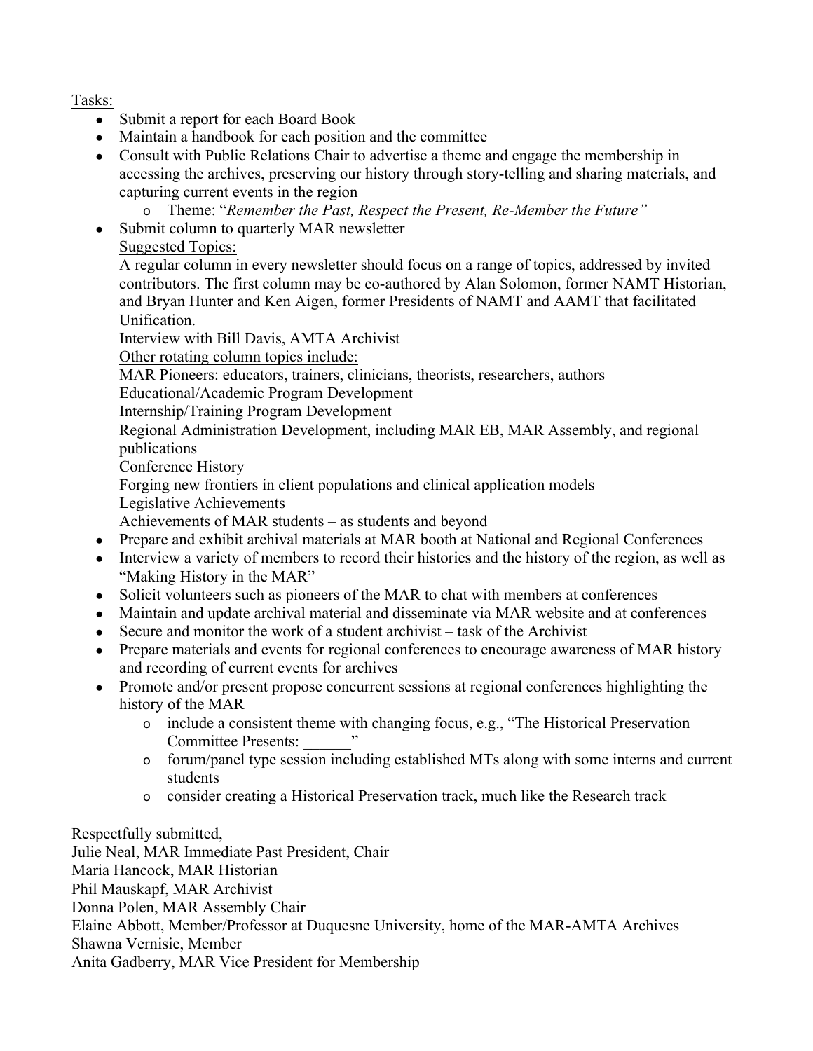Tasks:

- Submit a report for each Board Book
- Maintain a handbook for each position and the committee
- Consult with Public Relations Chair to advertise a theme and engage the membership in accessing the archives, preserving our history through story-telling and sharing materials, and capturing current events in the region
	- o Theme: "*Remember the Past, Respect the Present, Re-Member the Future"*
- Submit column to quarterly MAR newsletter
	- Suggested Topics:

A regular column in every newsletter should focus on a range of topics, addressed by invited contributors. The first column may be co-authored by Alan Solomon, former NAMT Historian, and Bryan Hunter and Ken Aigen, former Presidents of NAMT and AAMT that facilitated Unification.

Interview with Bill Davis, AMTA Archivist

Other rotating column topics include:

MAR Pioneers: educators, trainers, clinicians, theorists, researchers, authors

Educational/Academic Program Development

Internship/Training Program Development

Regional Administration Development, including MAR EB, MAR Assembly, and regional publications

Conference History

Forging new frontiers in client populations and clinical application models

Legislative Achievements

Achievements of MAR students – as students and beyond

- Prepare and exhibit archival materials at MAR booth at National and Regional Conferences
- Interview a variety of members to record their histories and the history of the region, as well as "Making History in the MAR"
- Solicit volunteers such as pioneers of the MAR to chat with members at conferences
- Maintain and update archival material and disseminate via MAR website and at conferences
- Secure and monitor the work of a student archivist task of the Archivist
- Prepare materials and events for regional conferences to encourage awareness of MAR history and recording of current events for archives
- Promote and/or present propose concurrent sessions at regional conferences highlighting the history of the MAR
	- o include a consistent theme with changing focus, e.g., "The Historical Preservation Committee Presents: \_\_\_\_\_\_"
	- o forum/panel type session including established MTs along with some interns and current students
	- o consider creating a Historical Preservation track, much like the Research track

Respectfully submitted, Julie Neal, MAR Immediate Past President, Chair Maria Hancock, MAR Historian Phil Mauskapf, MAR Archivist Donna Polen, MAR Assembly Chair Elaine Abbott, Member/Professor at Duquesne University, home of the MAR-AMTA Archives Shawna Vernisie, Member Anita Gadberry, MAR Vice President for Membership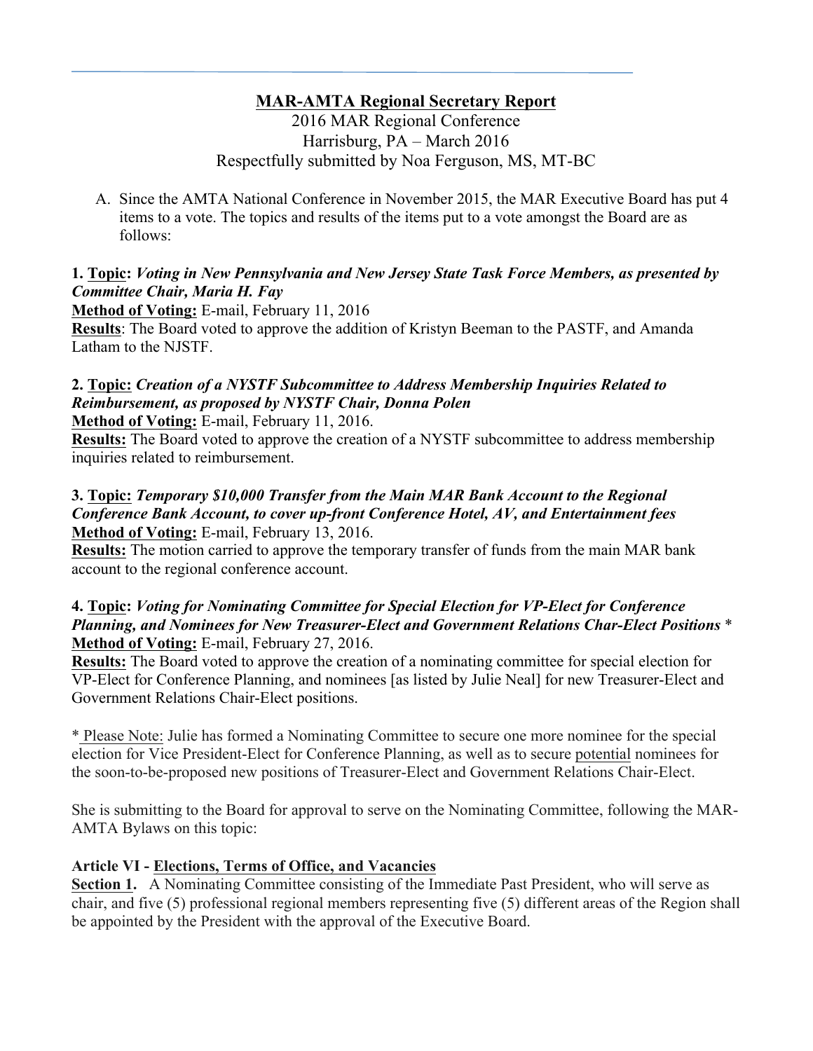## **MAR-AMTA Regional Secretary Report**

2016 MAR Regional Conference Harrisburg, PA – March 2016 Respectfully submitted by Noa Ferguson, MS, MT-BC

A. Since the AMTA National Conference in November 2015, the MAR Executive Board has put 4 items to a vote. The topics and results of the items put to a vote amongst the Board are as follows:

#### **1. Topic:** *Voting in New Pennsylvania and New Jersey State Task Force Members, as presented by Committee Chair, Maria H. Fay*

**Method of Voting:** E-mail, February 11, 2016

**Results**: The Board voted to approve the addition of Kristyn Beeman to the PASTF, and Amanda Latham to the NJSTF.

## **2. Topic:** *Creation of a NYSTF Subcommittee to Address Membership Inquiries Related to Reimbursement, as proposed by NYSTF Chair, Donna Polen*

**Method of Voting:** E-mail, February 11, 2016.

**Results:** The Board voted to approve the creation of a NYSTF subcommittee to address membership inquiries related to reimbursement.

#### **3. Topic:** *Temporary \$10,000 Transfer from the Main MAR Bank Account to the Regional Conference Bank Account, to cover up-front Conference Hotel, AV, and Entertainment fees* **Method of Voting:** E-mail, February 13, 2016.

**Results:** The motion carried to approve the temporary transfer of funds from the main MAR bank account to the regional conference account.

#### **4. Topic:** *Voting for Nominating Committee for Special Election for VP-Elect for Conference Planning, and Nominees for New Treasurer-Elect and Government Relations Char-Elect Positions* \* **Method of Voting:** E-mail, February 27, 2016.

**Results:** The Board voted to approve the creation of a nominating committee for special election for VP-Elect for Conference Planning, and nominees [as listed by Julie Neal] for new Treasurer-Elect and Government Relations Chair-Elect positions.

\* Please Note: Julie has formed a Nominating Committee to secure one more nominee for the special election for Vice President-Elect for Conference Planning, as well as to secure potential nominees for the soon-to-be-proposed new positions of Treasurer-Elect and Government Relations Chair-Elect.

She is submitting to the Board for approval to serve on the Nominating Committee, following the MAR-AMTA Bylaws on this topic:

### **Article VI - Elections, Terms of Office, and Vacancies**

**Section 1.** A Nominating Committee consisting of the Immediate Past President, who will serve as chair, and five (5) professional regional members representing five (5) different areas of the Region shall be appointed by the President with the approval of the Executive Board.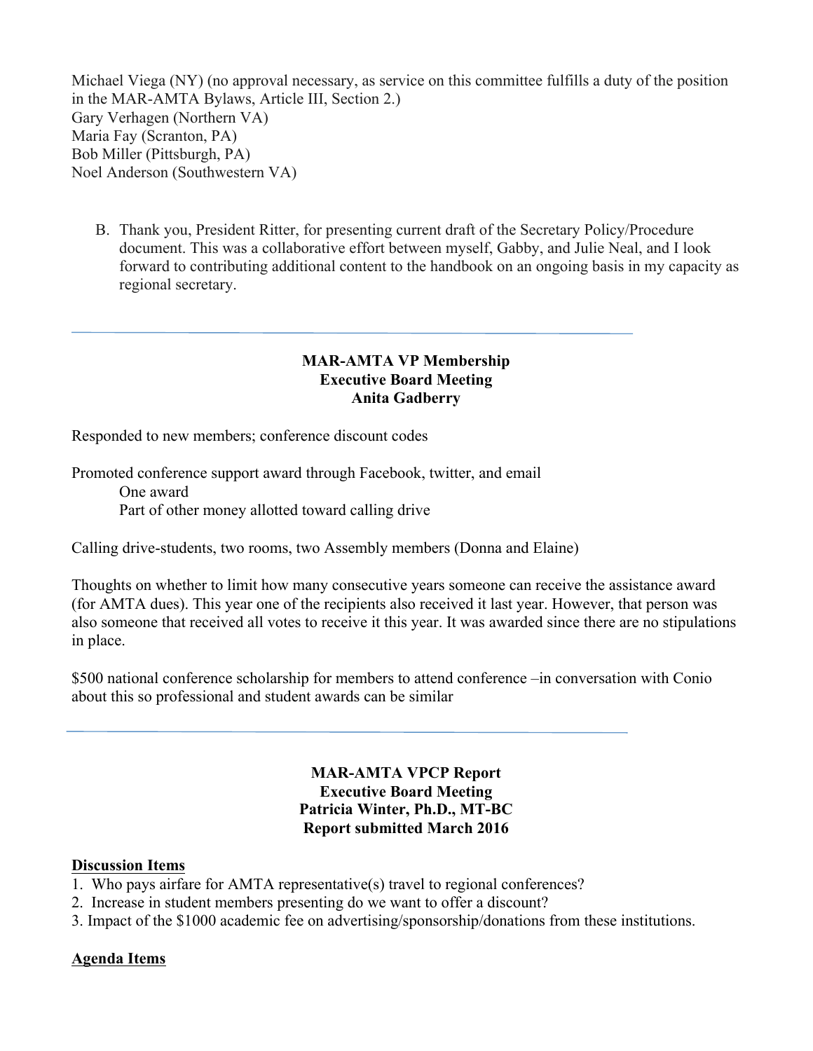Michael Viega (NY) (no approval necessary, as service on this committee fulfills a duty of the position in the MAR-AMTA Bylaws, Article III, Section 2.) Gary Verhagen (Northern VA) Maria Fay (Scranton, PA) Bob Miller (Pittsburgh, PA) Noel Anderson (Southwestern VA)

B. Thank you, President Ritter, for presenting current draft of the Secretary Policy/Procedure document. This was a collaborative effort between myself, Gabby, and Julie Neal, and I look forward to contributing additional content to the handbook on an ongoing basis in my capacity as regional secretary.

#### **MAR-AMTA VP Membership Executive Board Meeting Anita Gadberry**

Responded to new members; conference discount codes

Promoted conference support award through Facebook, twitter, and email One award Part of other money allotted toward calling drive

Calling drive-students, two rooms, two Assembly members (Donna and Elaine)

Thoughts on whether to limit how many consecutive years someone can receive the assistance award (for AMTA dues). This year one of the recipients also received it last year. However, that person was also someone that received all votes to receive it this year. It was awarded since there are no stipulations in place.

\$500 national conference scholarship for members to attend conference –in conversation with Conio about this so professional and student awards can be similar

> **MAR-AMTA VPCP Report Executive Board Meeting Patricia Winter, Ph.D., MT-BC Report submitted March 2016**

#### **Discussion Items**

- 1. Who pays airfare for AMTA representative(s) travel to regional conferences?
- 2. Increase in student members presenting do we want to offer a discount?
- 3. Impact of the \$1000 academic fee on advertising/sponsorship/donations from these institutions.

#### **Agenda Items**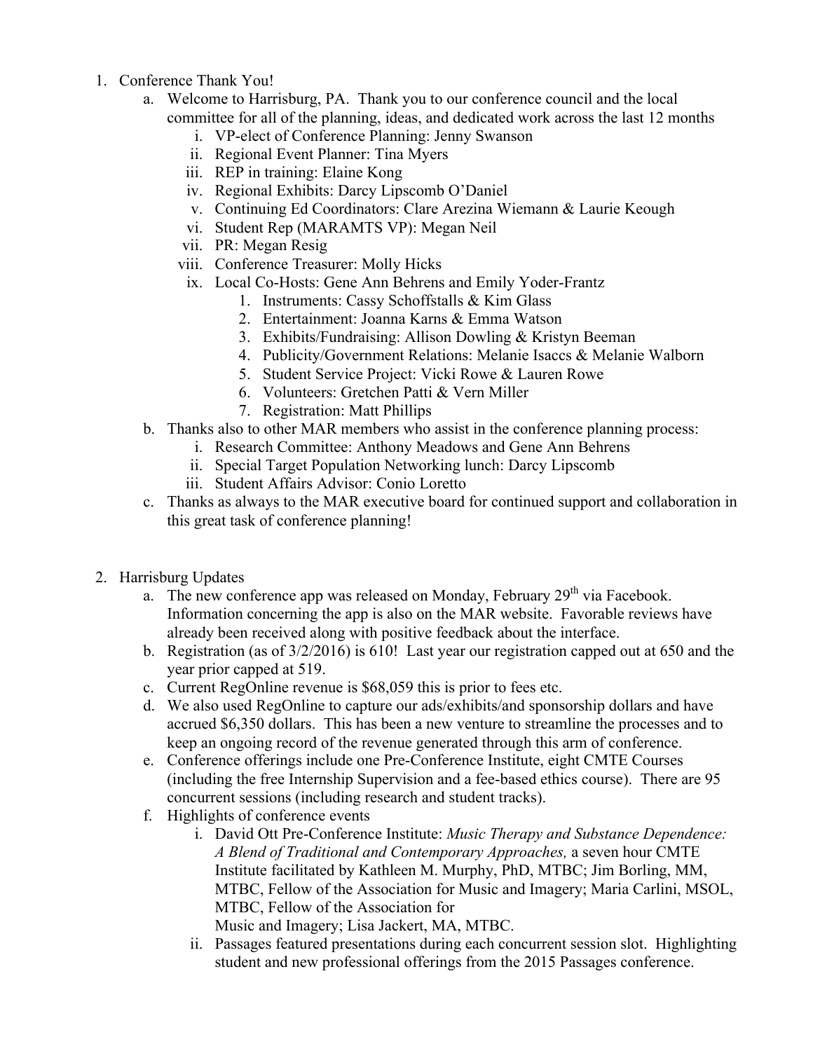- 1. Conference Thank You!
	- a. Welcome to Harrisburg, PA. Thank you to our conference council and the local committee for all of the planning, ideas, and dedicated work across the last 12 months
		- i. VP-elect of Conference Planning: Jenny Swanson
		- ii. Regional Event Planner: Tina Myers
		- iii. REP in training: Elaine Kong
		- iv. Regional Exhibits: Darcy Lipscomb O'Daniel
		- v. Continuing Ed Coordinators: Clare Arezina Wiemann & Laurie Keough
		- vi. Student Rep (MARAMTS VP): Megan Neil
		- vii. PR: Megan Resig
		- viii. Conference Treasurer: Molly Hicks
		- ix. Local Co-Hosts: Gene Ann Behrens and Emily Yoder-Frantz
			- 1. Instruments: Cassy Schoffstalls & Kim Glass
			- 2. Entertainment: Joanna Karns & Emma Watson
			- 3. Exhibits/Fundraising: Allison Dowling & Kristyn Beeman
			- 4. Publicity/Government Relations: Melanie Isaccs & Melanie Walborn
			- 5. Student Service Project: Vicki Rowe & Lauren Rowe
			- 6. Volunteers: Gretchen Patti & Vern Miller
			- 7. Registration: Matt Phillips
	- b. Thanks also to other MAR members who assist in the conference planning process:
		- i. Research Committee: Anthony Meadows and Gene Ann Behrens
		- ii. Special Target Population Networking lunch: Darcy Lipscomb
		- iii. Student Affairs Advisor: Conio Loretto
	- c. Thanks as always to the MAR executive board for continued support and collaboration in this great task of conference planning!
- 2. Harrisburg Updates
	- a. The new conference app was released on Monday, February  $29<sup>th</sup>$  via Facebook. Information concerning the app is also on the MAR website. Favorable reviews have already been received along with positive feedback about the interface.
	- b. Registration (as of 3/2/2016) is 610! Last year our registration capped out at 650 and the year prior capped at 519.
	- c. Current RegOnline revenue is \$68,059 this is prior to fees etc.
	- d. We also used RegOnline to capture our ads/exhibits/and sponsorship dollars and have accrued \$6,350 dollars. This has been a new venture to streamline the processes and to keep an ongoing record of the revenue generated through this arm of conference.
	- e. Conference offerings include one Pre-Conference Institute, eight CMTE Courses (including the free Internship Supervision and a fee-based ethics course). There are 95 concurrent sessions (including research and student tracks).
	- f. Highlights of conference events
		- i. David Ott Pre-Conference Institute: *Music Therapy and Substance Dependence: A Blend of Traditional and Contemporary Approaches,* a seven hour CMTE Institute facilitated by Kathleen M. Murphy, PhD, MTBC; Jim Borling, MM, MTBC, Fellow of the Association for Music and Imagery; Maria Carlini, MSOL, MTBC, Fellow of the Association for Music and Imagery; Lisa Jackert, MA, MTBC.
		- ii. Passages featured presentations during each concurrent session slot. Highlighting student and new professional offerings from the 2015 Passages conference.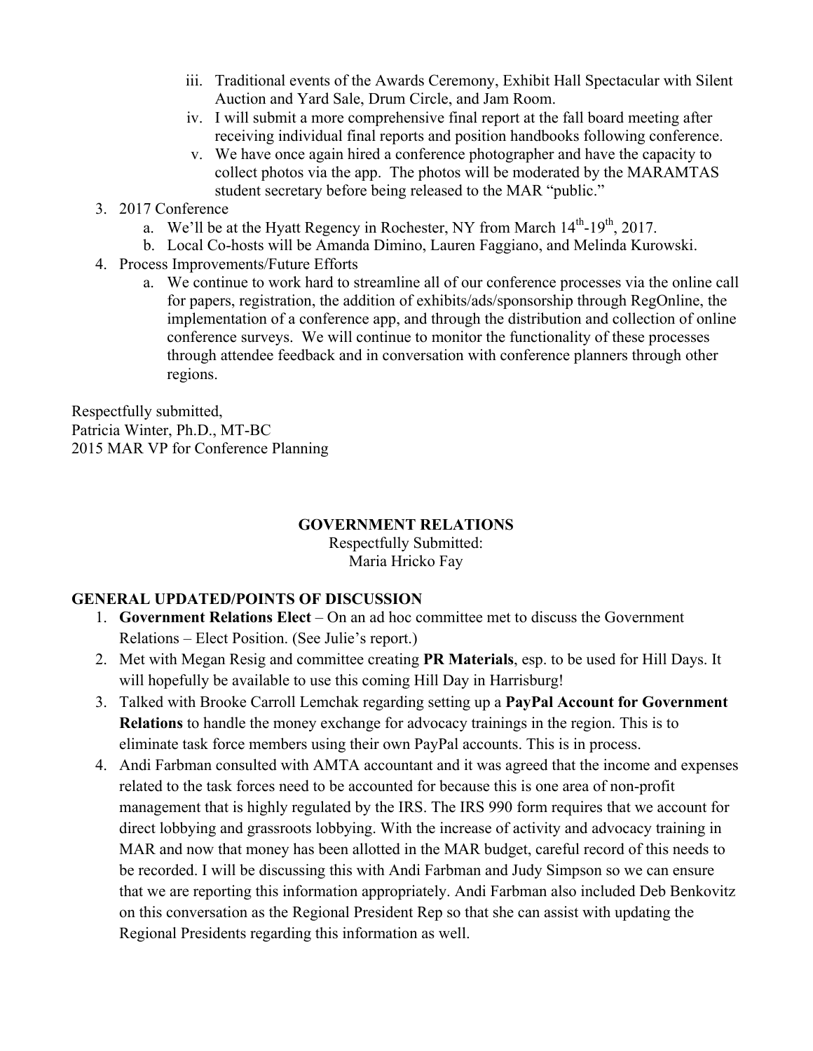- iii. Traditional events of the Awards Ceremony, Exhibit Hall Spectacular with Silent Auction and Yard Sale, Drum Circle, and Jam Room.
- iv. I will submit a more comprehensive final report at the fall board meeting after receiving individual final reports and position handbooks following conference.
- v. We have once again hired a conference photographer and have the capacity to collect photos via the app. The photos will be moderated by the MARAMTAS student secretary before being released to the MAR "public."
- 3. 2017 Conference
	- a. We'll be at the Hyatt Regency in Rochester, NY from March  $14<sup>th</sup>$ -19<sup>th</sup>, 2017.
	- b. Local Co-hosts will be Amanda Dimino, Lauren Faggiano, and Melinda Kurowski.
- 4. Process Improvements/Future Efforts
	- a. We continue to work hard to streamline all of our conference processes via the online call for papers, registration, the addition of exhibits/ads/sponsorship through RegOnline, the implementation of a conference app, and through the distribution and collection of online conference surveys. We will continue to monitor the functionality of these processes through attendee feedback and in conversation with conference planners through other regions.

Respectfully submitted, Patricia Winter, Ph.D., MT-BC 2015 MAR VP for Conference Planning

#### **GOVERNMENT RELATIONS**

Respectfully Submitted: Maria Hricko Fay

#### **GENERAL UPDATED/POINTS OF DISCUSSION**

- 1. **Government Relations Elect** On an ad hoc committee met to discuss the Government Relations – Elect Position. (See Julie's report.)
- 2. Met with Megan Resig and committee creating **PR Materials**, esp. to be used for Hill Days. It will hopefully be available to use this coming Hill Day in Harrisburg!
- 3. Talked with Brooke Carroll Lemchak regarding setting up a **PayPal Account for Government Relations** to handle the money exchange for advocacy trainings in the region. This is to eliminate task force members using their own PayPal accounts. This is in process.
- 4. Andi Farbman consulted with AMTA accountant and it was agreed that the income and expenses related to the task forces need to be accounted for because this is one area of non-profit management that is highly regulated by the IRS. The IRS 990 form requires that we account for direct lobbying and grassroots lobbying. With the increase of activity and advocacy training in MAR and now that money has been allotted in the MAR budget, careful record of this needs to be recorded. I will be discussing this with Andi Farbman and Judy Simpson so we can ensure that we are reporting this information appropriately. Andi Farbman also included Deb Benkovitz on this conversation as the Regional President Rep so that she can assist with updating the Regional Presidents regarding this information as well.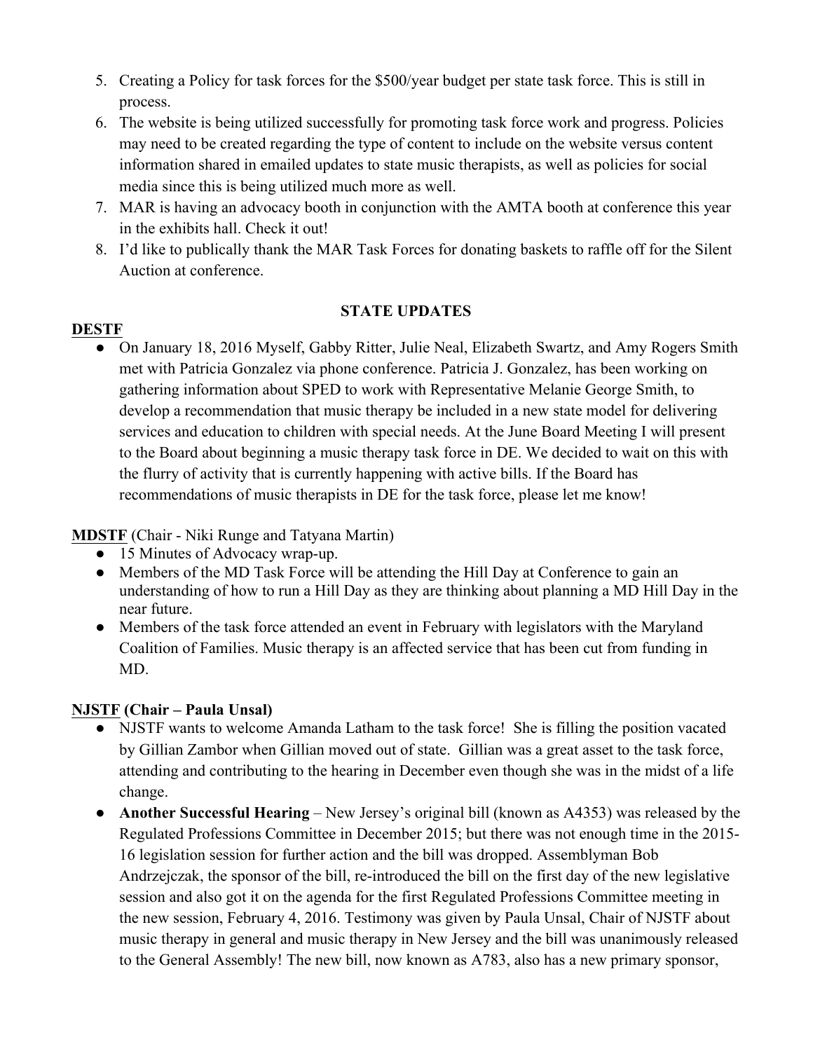- 5. Creating a Policy for task forces for the \$500/year budget per state task force. This is still in process.
- 6. The website is being utilized successfully for promoting task force work and progress. Policies may need to be created regarding the type of content to include on the website versus content information shared in emailed updates to state music therapists, as well as policies for social media since this is being utilized much more as well.
- 7. MAR is having an advocacy booth in conjunction with the AMTA booth at conference this year in the exhibits hall. Check it out!
- 8. I'd like to publically thank the MAR Task Forces for donating baskets to raffle off for the Silent Auction at conference.

#### **STATE UPDATES**

### **DESTF**

On January 18, 2016 Myself, Gabby Ritter, Julie Neal, Elizabeth Swartz, and Amy Rogers Smith met with Patricia Gonzalez via phone conference. Patricia J. Gonzalez, has been working on gathering information about SPED to work with Representative Melanie George Smith, to develop a recommendation that music therapy be included in a new state model for delivering services and education to children with special needs. At the June Board Meeting I will present to the Board about beginning a music therapy task force in DE. We decided to wait on this with the flurry of activity that is currently happening with active bills. If the Board has recommendations of music therapists in DE for the task force, please let me know!

**MDSTF** (Chair - Niki Runge and Tatyana Martin)

- 15 Minutes of Advocacy wrap-up.
- Members of the MD Task Force will be attending the Hill Day at Conference to gain an understanding of how to run a Hill Day as they are thinking about planning a MD Hill Day in the near future.
- Members of the task force attended an event in February with legislators with the Maryland Coalition of Families. Music therapy is an affected service that has been cut from funding in MD.

### **NJSTF (Chair – Paula Unsal)**

- NJSTF wants to welcome Amanda Latham to the task force! She is filling the position vacated by Gillian Zambor when Gillian moved out of state. Gillian was a great asset to the task force, attending and contributing to the hearing in December even though she was in the midst of a life change.
- **Another Successful Hearing** New Jersey's original bill (known as A4353) was released by the Regulated Professions Committee in December 2015; but there was not enough time in the 2015- 16 legislation session for further action and the bill was dropped. Assemblyman Bob Andrzejczak, the sponsor of the bill, re-introduced the bill on the first day of the new legislative session and also got it on the agenda for the first Regulated Professions Committee meeting in the new session, February 4, 2016. Testimony was given by Paula Unsal, Chair of NJSTF about music therapy in general and music therapy in New Jersey and the bill was unanimously released to the General Assembly! The new bill, now known as A783, also has a new primary sponsor,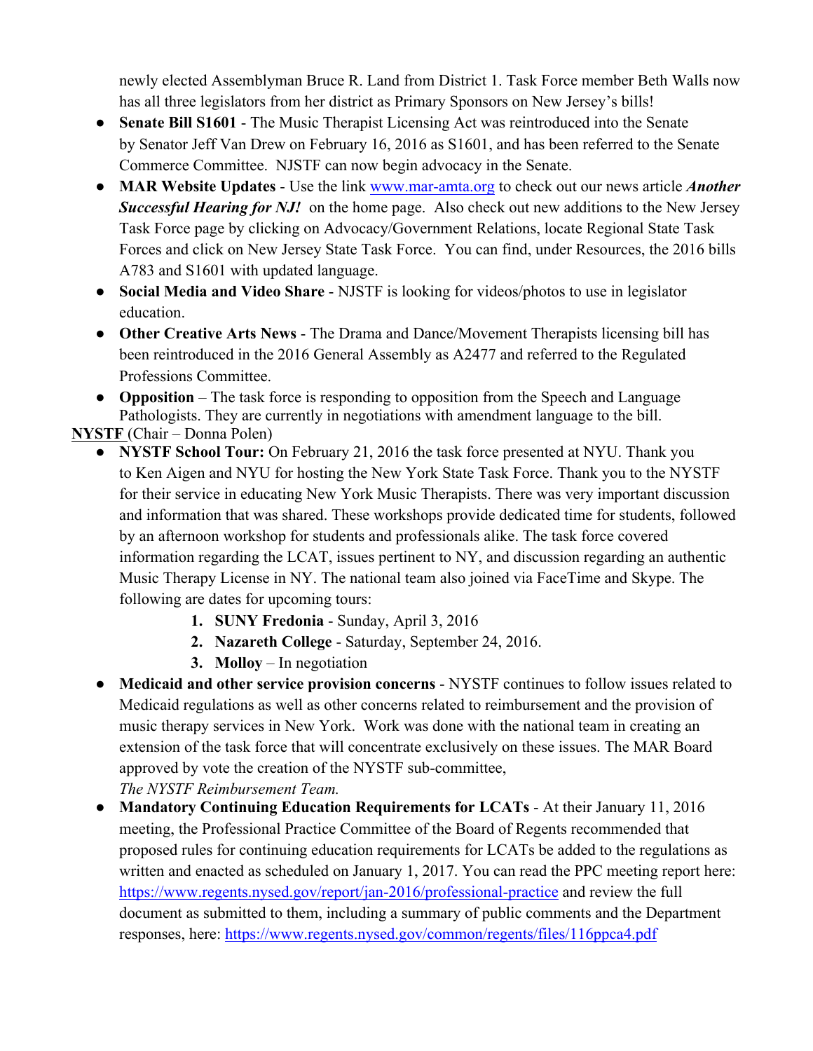newly elected Assemblyman Bruce R. Land from District 1. Task Force member Beth Walls now has all three legislators from her district as Primary Sponsors on New Jersey's bills!

- **Senate Bill S1601** The Music Therapist Licensing Act was reintroduced into the Senate by Senator Jeff Van Drew on February 16, 2016 as S1601, and has been referred to the Senate Commerce Committee. NJSTF can now begin advocacy in the Senate.
- **MAR Website Updates** Use the link www.mar-amta.org to check out our news article *Another Successful Hearing for NJ!* on the home page. Also check out new additions to the New Jersey Task Force page by clicking on Advocacy/Government Relations, locate Regional State Task Forces and click on New Jersey State Task Force. You can find, under Resources, the 2016 bills A783 and S1601 with updated language.
- **Social Media and Video Share** NJSTF is looking for videos/photos to use in legislator education.
- **Other Creative Arts News** The Drama and Dance/Movement Therapists licensing bill has been reintroduced in the 2016 General Assembly as A2477 and referred to the Regulated Professions Committee.
- **Opposition** The task force is responding to opposition from the Speech and Language Pathologists. They are currently in negotiations with amendment language to the bill.

**NYSTF** (Chair – Donna Polen)

- **NYSTF School Tour:** On February 21, 2016 the task force presented at NYU. Thank you to Ken Aigen and NYU for hosting the New York State Task Force. Thank you to the NYSTF for their service in educating New York Music Therapists. There was very important discussion and information that was shared. These workshops provide dedicated time for students, followed by an afternoon workshop for students and professionals alike. The task force covered information regarding the LCAT, issues pertinent to NY, and discussion regarding an authentic Music Therapy License in NY. The national team also joined via FaceTime and Skype. The following are dates for upcoming tours:
	- **1. SUNY Fredonia** Sunday, April 3, 2016
	- **2. Nazareth College** Saturday, September 24, 2016.
	- **3. Molloy**  In negotiation
- **Medicaid and other service provision concerns** NYSTF continues to follow issues related to Medicaid regulations as well as other concerns related to reimbursement and the provision of music therapy services in New York. Work was done with the national team in creating an extension of the task force that will concentrate exclusively on these issues. The MAR Board approved by vote the creation of the NYSTF sub-committee, *The NYSTF Reimbursement Team.*
- **Mandatory Continuing Education Requirements for LCATs** At their January 11, 2016 meeting, the Professional Practice Committee of the Board of Regents recommended that proposed rules for continuing education requirements for LCATs be added to the regulations as written and enacted as scheduled on January 1, 2017. You can read the PPC meeting report here: https://www.regents.nysed.gov/report/jan-2016/professional-practice and review the full document as submitted to them, including a summary of public comments and the Department responses, here: https://www.regents.nysed.gov/common/regents/files/116ppca4.pdf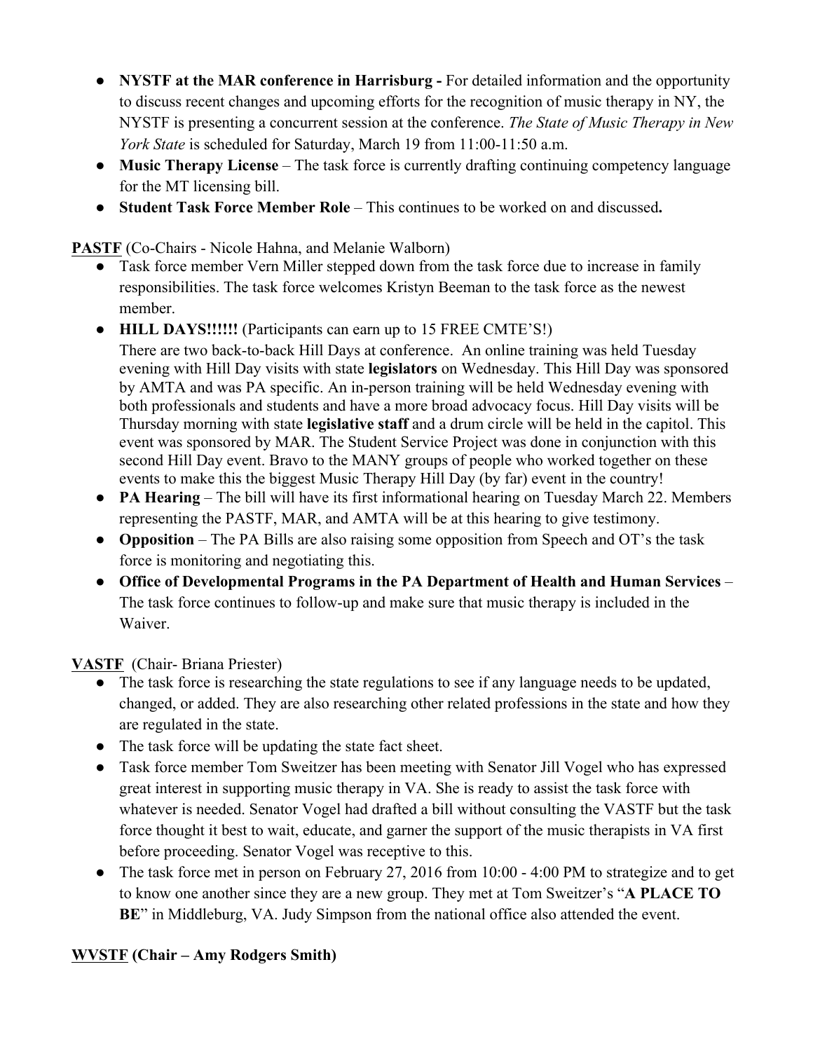- **NYSTF at the MAR conference in Harrisburg -** For detailed information and the opportunity to discuss recent changes and upcoming efforts for the recognition of music therapy in NY, the NYSTF is presenting a concurrent session at the conference. *The State of Music Therapy in New York State* is scheduled for Saturday, March 19 from 11:00-11:50 a.m.
- **Music Therapy License** The task force is currently drafting continuing competency language for the MT licensing bill.
- **Student Task Force Member Role** This continues to be worked on and discussed**.**

**PASTF** (Co-Chairs - Nicole Hahna, and Melanie Walborn)

- Task force member Vern Miller stepped down from the task force due to increase in family responsibilities. The task force welcomes Kristyn Beeman to the task force as the newest member.
- **HILL DAYS!!!!!!** (Participants can earn up to 15 FREE CMTE'S!)
- There are two back-to-back Hill Days at conference. An online training was held Tuesday evening with Hill Day visits with state **legislators** on Wednesday. This Hill Day was sponsored by AMTA and was PA specific. An in-person training will be held Wednesday evening with both professionals and students and have a more broad advocacy focus. Hill Day visits will be Thursday morning with state **legislative staff** and a drum circle will be held in the capitol. This event was sponsored by MAR. The Student Service Project was done in conjunction with this second Hill Day event. Bravo to the MANY groups of people who worked together on these events to make this the biggest Music Therapy Hill Day (by far) event in the country!
- **PA Hearing** The bill will have its first informational hearing on Tuesday March 22. Members representing the PASTF, MAR, and AMTA will be at this hearing to give testimony.
- **Opposition** The PA Bills are also raising some opposition from Speech and OT's the task force is monitoring and negotiating this.
- **Office of Developmental Programs in the PA Department of Health and Human Services** The task force continues to follow-up and make sure that music therapy is included in the Waiver.

**VASTF** (Chair- Briana Priester)

- The task force is researching the state regulations to see if any language needs to be updated, changed, or added. They are also researching other related professions in the state and how they are regulated in the state.
- The task force will be updating the state fact sheet.
- Task force member Tom Sweitzer has been meeting with Senator Jill Vogel who has expressed great interest in supporting music therapy in VA. She is ready to assist the task force with whatever is needed. Senator Vogel had drafted a bill without consulting the VASTF but the task force thought it best to wait, educate, and garner the support of the music therapists in VA first before proceeding. Senator Vogel was receptive to this.
- The task force met in person on February 27, 2016 from 10:00 4:00 PM to strategize and to get to know one another since they are a new group. They met at Tom Sweitzer's "**A PLACE TO BE**" in Middleburg, VA. Judy Simpson from the national office also attended the event.

### **WVSTF (Chair – Amy Rodgers Smith)**